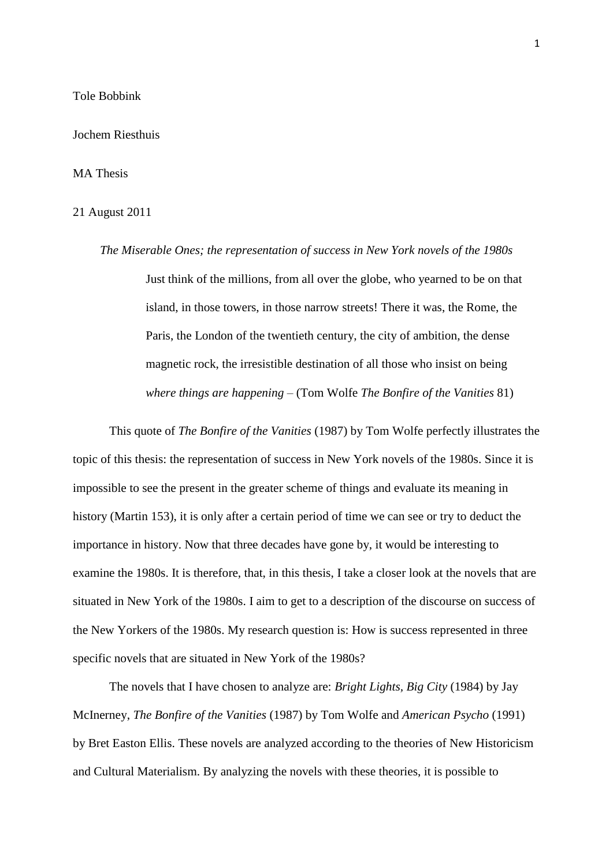Tole Bobbink

Jochem Riesthuis

MA Thesis

21 August 2011

*The Miserable Ones; the representation of success in New York novels of the 1980s* Just think of the millions, from all over the globe, who yearned to be on that island, in those towers, in those narrow streets! There it was, the Rome, the Paris, the London of the twentieth century, the city of ambition, the dense magnetic rock, the irresistible destination of all those who insist on being *where things are happening* – (Tom Wolfe *The Bonfire of the Vanities* 81)

This quote of *The Bonfire of the Vanities* (1987) by Tom Wolfe perfectly illustrates the topic of this thesis: the representation of success in New York novels of the 1980s. Since it is impossible to see the present in the greater scheme of things and evaluate its meaning in history (Martin 153), it is only after a certain period of time we can see or try to deduct the importance in history. Now that three decades have gone by, it would be interesting to examine the 1980s. It is therefore, that, in this thesis, I take a closer look at the novels that are situated in New York of the 1980s. I aim to get to a description of the discourse on success of the New Yorkers of the 1980s. My research question is: How is success represented in three specific novels that are situated in New York of the 1980s?

The novels that I have chosen to analyze are: *Bright Lights, Big City* (1984) by Jay McInerney, *The Bonfire of the Vanities* (1987) by Tom Wolfe and *American Psycho* (1991) by Bret Easton Ellis. These novels are analyzed according to the theories of New Historicism and Cultural Materialism. By analyzing the novels with these theories, it is possible to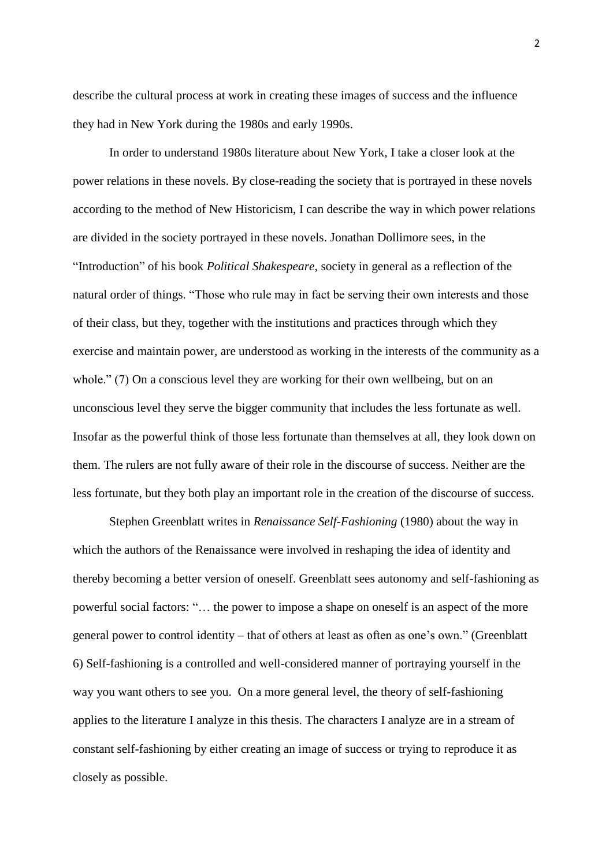describe the cultural process at work in creating these images of success and the influence they had in New York during the 1980s and early 1990s.

In order to understand 1980s literature about New York, I take a closer look at the power relations in these novels. By close-reading the society that is portrayed in these novels according to the method of New Historicism, I can describe the way in which power relations are divided in the society portrayed in these novels. Jonathan Dollimore sees, in the "Introduction" of his book *Political Shakespeare*, society in general as a reflection of the natural order of things. "Those who rule may in fact be serving their own interests and those of their class, but they, together with the institutions and practices through which they exercise and maintain power, are understood as working in the interests of the community as a whole." (7) On a conscious level they are working for their own wellbeing, but on an unconscious level they serve the bigger community that includes the less fortunate as well. Insofar as the powerful think of those less fortunate than themselves at all, they look down on them. The rulers are not fully aware of their role in the discourse of success. Neither are the less fortunate, but they both play an important role in the creation of the discourse of success.

Stephen Greenblatt writes in *Renaissance Self-Fashioning* (1980) about the way in which the authors of the Renaissance were involved in reshaping the idea of identity and thereby becoming a better version of oneself. Greenblatt sees autonomy and self-fashioning as powerful social factors: "… the power to impose a shape on oneself is an aspect of the more general power to control identity – that of others at least as often as one"s own." (Greenblatt 6) Self-fashioning is a controlled and well-considered manner of portraying yourself in the way you want others to see you. On a more general level, the theory of self-fashioning applies to the literature I analyze in this thesis. The characters I analyze are in a stream of constant self-fashioning by either creating an image of success or trying to reproduce it as closely as possible.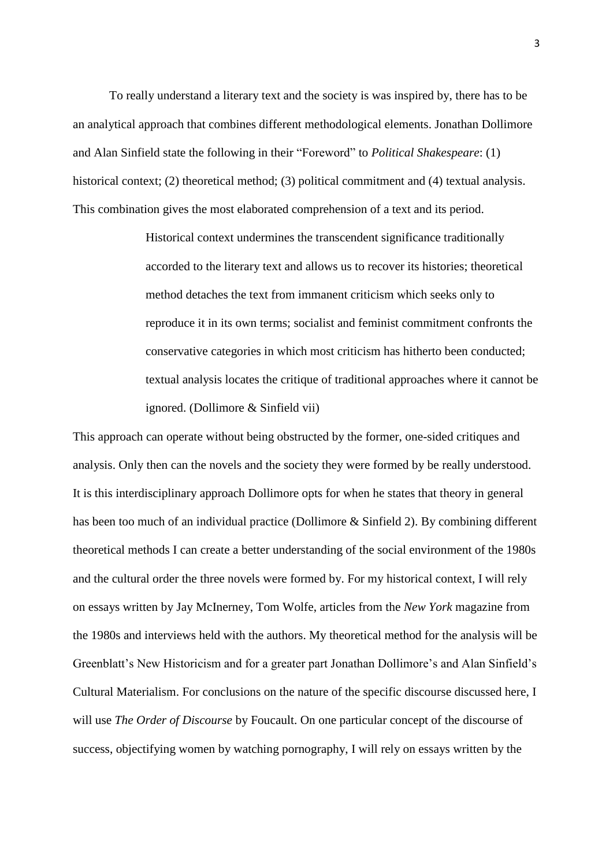To really understand a literary text and the society is was inspired by, there has to be an analytical approach that combines different methodological elements. Jonathan Dollimore and Alan Sinfield state the following in their "Foreword" to *Political Shakespeare*: (1) historical context; (2) theoretical method; (3) political commitment and (4) textual analysis. This combination gives the most elaborated comprehension of a text and its period.

> Historical context undermines the transcendent significance traditionally accorded to the literary text and allows us to recover its histories; theoretical method detaches the text from immanent criticism which seeks only to reproduce it in its own terms; socialist and feminist commitment confronts the conservative categories in which most criticism has hitherto been conducted; textual analysis locates the critique of traditional approaches where it cannot be ignored. (Dollimore & Sinfield vii)

This approach can operate without being obstructed by the former, one-sided critiques and analysis. Only then can the novels and the society they were formed by be really understood. It is this interdisciplinary approach Dollimore opts for when he states that theory in general has been too much of an individual practice (Dollimore & Sinfield 2). By combining different theoretical methods I can create a better understanding of the social environment of the 1980s and the cultural order the three novels were formed by. For my historical context, I will rely on essays written by Jay McInerney, Tom Wolfe, articles from the *New York* magazine from the 1980s and interviews held with the authors. My theoretical method for the analysis will be Greenblatt's New Historicism and for a greater part Jonathan Dollimore's and Alan Sinfield's Cultural Materialism. For conclusions on the nature of the specific discourse discussed here, I will use *The Order of Discourse* by Foucault. On one particular concept of the discourse of success, objectifying women by watching pornography, I will rely on essays written by the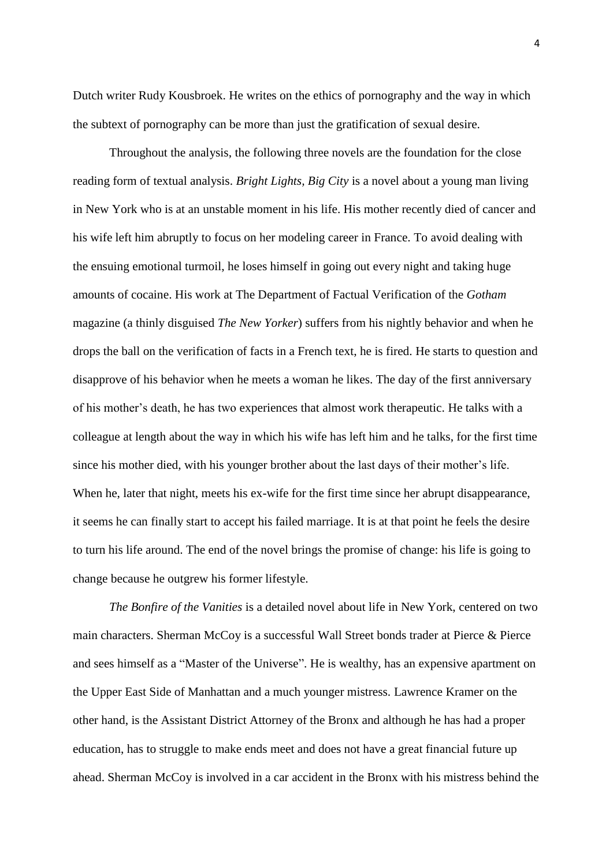Dutch writer Rudy Kousbroek. He writes on the ethics of pornography and the way in which the subtext of pornography can be more than just the gratification of sexual desire.

Throughout the analysis, the following three novels are the foundation for the close reading form of textual analysis. *Bright Lights, Big City* is a novel about a young man living in New York who is at an unstable moment in his life. His mother recently died of cancer and his wife left him abruptly to focus on her modeling career in France. To avoid dealing with the ensuing emotional turmoil, he loses himself in going out every night and taking huge amounts of cocaine. His work at The Department of Factual Verification of the *Gotham* magazine (a thinly disguised *The New Yorker*) suffers from his nightly behavior and when he drops the ball on the verification of facts in a French text, he is fired. He starts to question and disapprove of his behavior when he meets a woman he likes. The day of the first anniversary of his mother"s death, he has two experiences that almost work therapeutic. He talks with a colleague at length about the way in which his wife has left him and he talks, for the first time since his mother died, with his younger brother about the last days of their mother"s life. When he, later that night, meets his ex-wife for the first time since her abrupt disappearance, it seems he can finally start to accept his failed marriage. It is at that point he feels the desire to turn his life around. The end of the novel brings the promise of change: his life is going to change because he outgrew his former lifestyle.

*The Bonfire of the Vanities* is a detailed novel about life in New York, centered on two main characters. Sherman McCoy is a successful Wall Street bonds trader at Pierce & Pierce and sees himself as a "Master of the Universe". He is wealthy, has an expensive apartment on the Upper East Side of Manhattan and a much younger mistress. Lawrence Kramer on the other hand, is the Assistant District Attorney of the Bronx and although he has had a proper education, has to struggle to make ends meet and does not have a great financial future up ahead. Sherman McCoy is involved in a car accident in the Bronx with his mistress behind the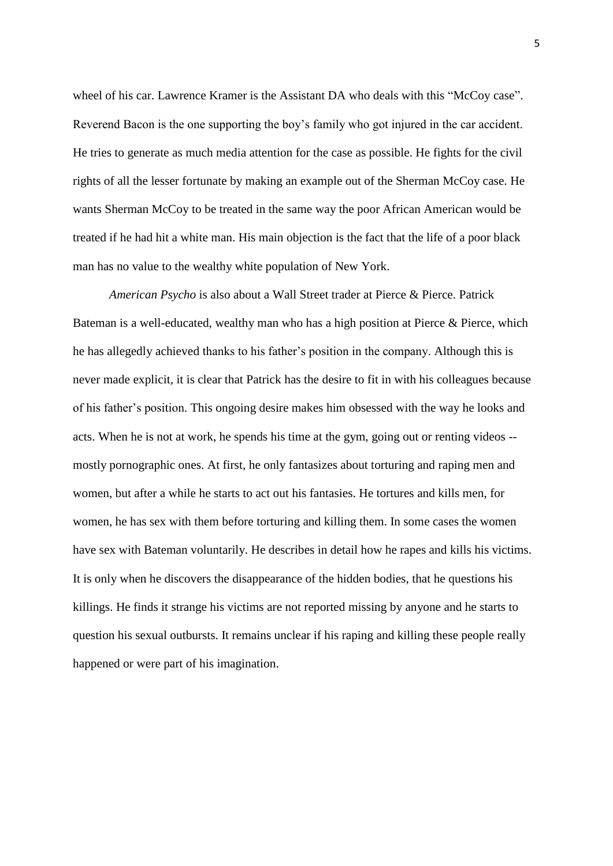wheel of his car. Lawrence Kramer is the Assistant DA who deals with this "McCoy case". Reverend Bacon is the one supporting the boy"s family who got injured in the car accident. He tries to generate as much media attention for the case as possible. He fights for the civil rights of all the lesser fortunate by making an example out of the Sherman McCoy case. He wants Sherman McCoy to be treated in the same way the poor African American would be treated if he had hit a white man. His main objection is the fact that the life of a poor black man has no value to the wealthy white population of New York.

*American Psycho* is also about a Wall Street trader at Pierce & Pierce. Patrick Bateman is a well-educated, wealthy man who has a high position at Pierce & Pierce, which he has allegedly achieved thanks to his father"s position in the company. Although this is never made explicit, it is clear that Patrick has the desire to fit in with his colleagues because of his father"s position. This ongoing desire makes him obsessed with the way he looks and acts. When he is not at work, he spends his time at the gym, going out or renting videos - mostly pornographic ones. At first, he only fantasizes about torturing and raping men and women, but after a while he starts to act out his fantasies. He tortures and kills men, for women, he has sex with them before torturing and killing them. In some cases the women have sex with Bateman voluntarily. He describes in detail how he rapes and kills his victims. It is only when he discovers the disappearance of the hidden bodies, that he questions his killings. He finds it strange his victims are not reported missing by anyone and he starts to question his sexual outbursts. It remains unclear if his raping and killing these people really happened or were part of his imagination.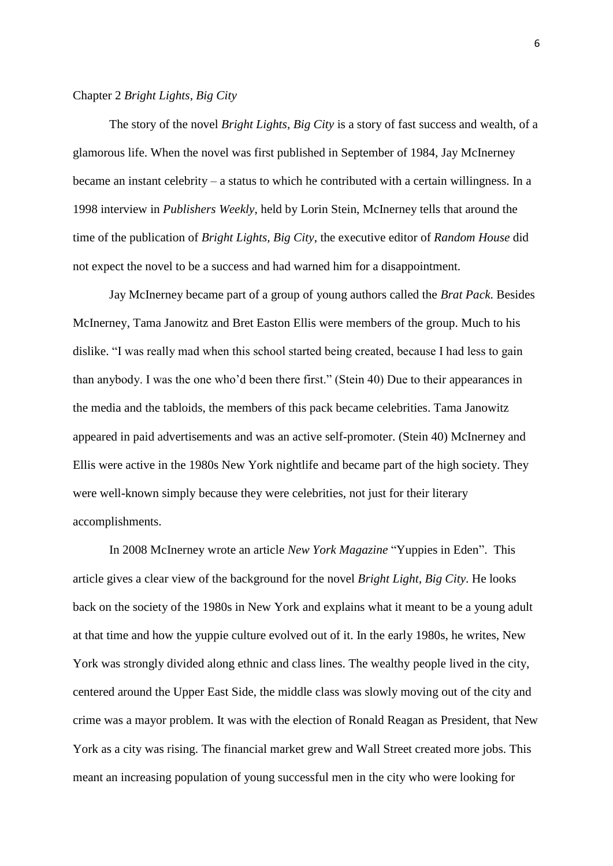# Chapter 2 *Bright Lights, Big City*

The story of the novel *Bright Lights, Big City* is a story of fast success and wealth, of a glamorous life. When the novel was first published in September of 1984, Jay McInerney became an instant celebrity – a status to which he contributed with a certain willingness. In a 1998 interview in *Publishers Weekly*, held by Lorin Stein, McInerney tells that around the time of the publication of *Bright Lights, Big City*, the executive editor of *Random House* did not expect the novel to be a success and had warned him for a disappointment.

Jay McInerney became part of a group of young authors called the *Brat Pack*. Besides McInerney, Tama Janowitz and Bret Easton Ellis were members of the group. Much to his dislike. "I was really mad when this school started being created, because I had less to gain than anybody. I was the one who"d been there first." (Stein 40) Due to their appearances in the media and the tabloids, the members of this pack became celebrities. Tama Janowitz appeared in paid advertisements and was an active self-promoter. (Stein 40) McInerney and Ellis were active in the 1980s New York nightlife and became part of the high society. They were well-known simply because they were celebrities, not just for their literary accomplishments.

In 2008 McInerney wrote an article *New York Magazine* "Yuppies in Eden". This article gives a clear view of the background for the novel *Bright Light, Big City*. He looks back on the society of the 1980s in New York and explains what it meant to be a young adult at that time and how the yuppie culture evolved out of it. In the early 1980s, he writes, New York was strongly divided along ethnic and class lines. The wealthy people lived in the city, centered around the Upper East Side, the middle class was slowly moving out of the city and crime was a mayor problem. It was with the election of Ronald Reagan as President, that New York as a city was rising. The financial market grew and Wall Street created more jobs. This meant an increasing population of young successful men in the city who were looking for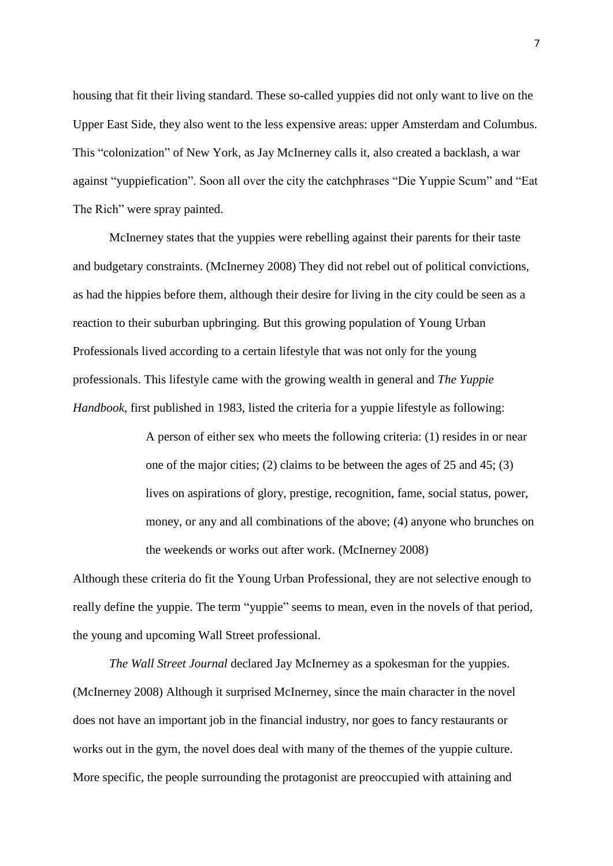housing that fit their living standard. These so-called yuppies did not only want to live on the Upper East Side, they also went to the less expensive areas: upper Amsterdam and Columbus. This "colonization" of New York, as Jay McInerney calls it, also created a backlash, a war against "yuppiefication". Soon all over the city the catchphrases "Die Yuppie Scum" and "Eat The Rich" were spray painted.

McInerney states that the yuppies were rebelling against their parents for their taste and budgetary constraints. (McInerney 2008) They did not rebel out of political convictions, as had the hippies before them, although their desire for living in the city could be seen as a reaction to their suburban upbringing. But this growing population of Young Urban Professionals lived according to a certain lifestyle that was not only for the young professionals. This lifestyle came with the growing wealth in general and *The Yuppie Handbook*, first published in 1983, listed the criteria for a yuppie lifestyle as following:

> A person of either sex who meets the following criteria: (1) resides in or near one of the major cities; (2) claims to be between the ages of 25 and 45; (3) lives on aspirations of glory, prestige, recognition, fame, social status, power, money, or any and all combinations of the above; (4) anyone who brunches on the weekends or works out after work. (McInerney 2008)

Although these criteria do fit the Young Urban Professional, they are not selective enough to really define the yuppie. The term "yuppie" seems to mean, even in the novels of that period, the young and upcoming Wall Street professional.

*The Wall Street Journal* declared Jay McInerney as a spokesman for the yuppies. (McInerney 2008) Although it surprised McInerney, since the main character in the novel does not have an important job in the financial industry, nor goes to fancy restaurants or works out in the gym, the novel does deal with many of the themes of the yuppie culture. More specific, the people surrounding the protagonist are preoccupied with attaining and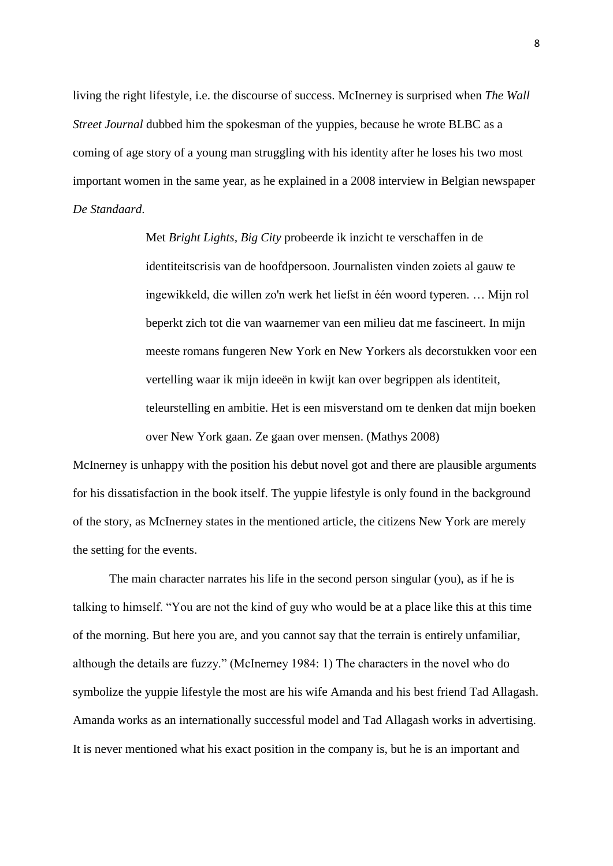living the right lifestyle, i.e. the discourse of success. McInerney is surprised when *The Wall Street Journal* dubbed him the spokesman of the yuppies, because he wrote BLBC as a coming of age story of a young man struggling with his identity after he loses his two most important women in the same year, as he explained in a 2008 interview in Belgian newspaper *De Standaard*.

> Met *Bright Lights, Big City* probeerde ik inzicht te verschaffen in de identiteitscrisis van de hoofdpersoon. Journalisten vinden zoiets al gauw te ingewikkeld, die willen zo'n werk het liefst in één woord typeren. … Mijn rol beperkt zich tot die van waarnemer van een milieu dat me fascineert. In mijn meeste romans fungeren New York en New Yorkers als decorstukken voor een vertelling waar ik mijn ideeën in kwijt kan over begrippen als identiteit, teleurstelling en ambitie. Het is een misverstand om te denken dat mijn boeken over New York gaan. Ze gaan over mensen. (Mathys 2008)

McInerney is unhappy with the position his debut novel got and there are plausible arguments for his dissatisfaction in the book itself. The yuppie lifestyle is only found in the background of the story, as McInerney states in the mentioned article, the citizens New York are merely the setting for the events.

The main character narrates his life in the second person singular (you), as if he is talking to himself. "You are not the kind of guy who would be at a place like this at this time of the morning. But here you are, and you cannot say that the terrain is entirely unfamiliar, although the details are fuzzy." (McInerney 1984: 1) The characters in the novel who do symbolize the yuppie lifestyle the most are his wife Amanda and his best friend Tad Allagash. Amanda works as an internationally successful model and Tad Allagash works in advertising. It is never mentioned what his exact position in the company is, but he is an important and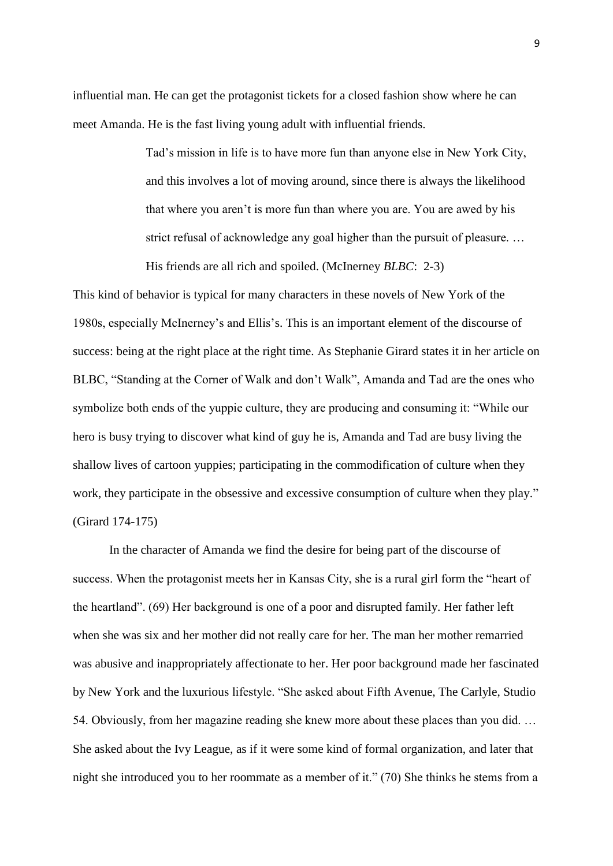influential man. He can get the protagonist tickets for a closed fashion show where he can meet Amanda. He is the fast living young adult with influential friends.

> Tad"s mission in life is to have more fun than anyone else in New York City, and this involves a lot of moving around, since there is always the likelihood that where you aren"t is more fun than where you are. You are awed by his strict refusal of acknowledge any goal higher than the pursuit of pleasure. … His friends are all rich and spoiled. (McInerney *BLBC*: 2-3)

This kind of behavior is typical for many characters in these novels of New York of the 1980s, especially McInerney"s and Ellis"s. This is an important element of the discourse of success: being at the right place at the right time. As Stephanie Girard states it in her article on BLBC, "Standing at the Corner of Walk and don"t Walk", Amanda and Tad are the ones who symbolize both ends of the yuppie culture, they are producing and consuming it: "While our hero is busy trying to discover what kind of guy he is, Amanda and Tad are busy living the shallow lives of cartoon yuppies; participating in the commodification of culture when they work, they participate in the obsessive and excessive consumption of culture when they play." (Girard 174-175)

In the character of Amanda we find the desire for being part of the discourse of success. When the protagonist meets her in Kansas City, she is a rural girl form the "heart of the heartland". (69) Her background is one of a poor and disrupted family. Her father left when she was six and her mother did not really care for her. The man her mother remarried was abusive and inappropriately affectionate to her. Her poor background made her fascinated by New York and the luxurious lifestyle. "She asked about Fifth Avenue, The Carlyle, Studio 54. Obviously, from her magazine reading she knew more about these places than you did. … She asked about the Ivy League, as if it were some kind of formal organization, and later that night she introduced you to her roommate as a member of it." (70) She thinks he stems from a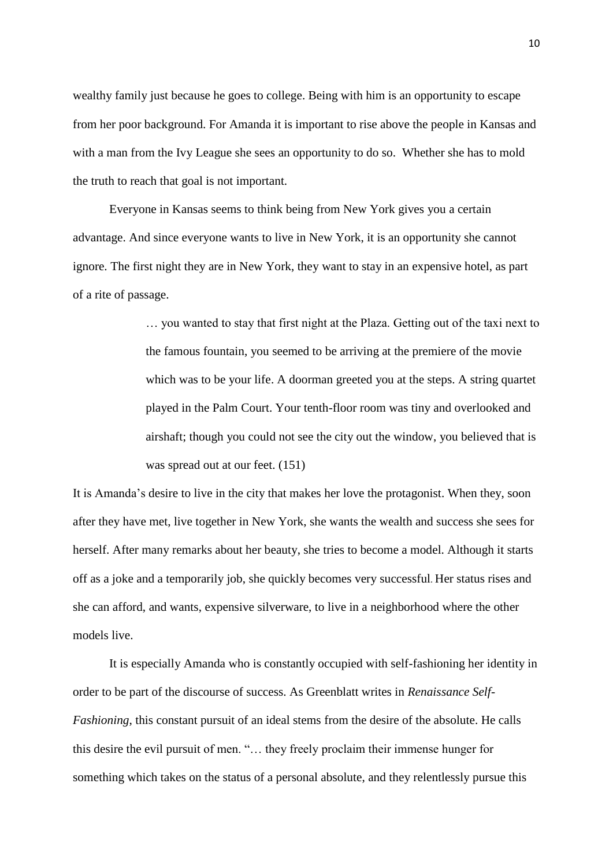wealthy family just because he goes to college. Being with him is an opportunity to escape from her poor background. For Amanda it is important to rise above the people in Kansas and with a man from the Ivy League she sees an opportunity to do so. Whether she has to mold the truth to reach that goal is not important.

Everyone in Kansas seems to think being from New York gives you a certain advantage. And since everyone wants to live in New York, it is an opportunity she cannot ignore. The first night they are in New York, they want to stay in an expensive hotel, as part of a rite of passage.

> … you wanted to stay that first night at the Plaza. Getting out of the taxi next to the famous fountain, you seemed to be arriving at the premiere of the movie which was to be your life. A doorman greeted you at the steps. A string quartet played in the Palm Court. Your tenth-floor room was tiny and overlooked and airshaft; though you could not see the city out the window, you believed that is was spread out at our feet. (151)

It is Amanda"s desire to live in the city that makes her love the protagonist. When they, soon after they have met, live together in New York, she wants the wealth and success she sees for herself. After many remarks about her beauty, she tries to become a model. Although it starts off as a joke and a temporarily job, she quickly becomes very successful. Her status rises and she can afford, and wants, expensive silverware, to live in a neighborhood where the other models live.

It is especially Amanda who is constantly occupied with self-fashioning her identity in order to be part of the discourse of success. As Greenblatt writes in *Renaissance Self-Fashioning*, this constant pursuit of an ideal stems from the desire of the absolute. He calls this desire the evil pursuit of men. "… they freely proclaim their immense hunger for something which takes on the status of a personal absolute, and they relentlessly pursue this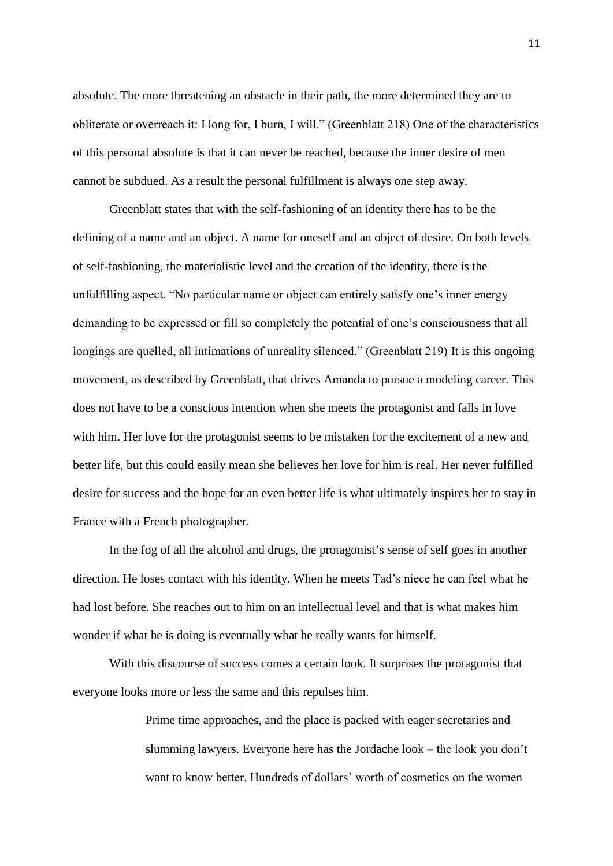absolute. The more threatening an obstacle in their path, the more determined they are to obliterate or overreach it: I long for, I burn, I will." (Greenblatt 218) One of the characteristics of this personal absolute is that it can never be reached, because the inner desire of men cannot be subdued. As a result the personal fulfillment is always one step away.

Greenblatt states that with the self-fashioning of an identity there has to be the defining of a name and an object. A name for oneself and an object of desire. On both levels of self-fashioning, the materialistic level and the creation of the identity, there is the unfulfilling aspect. "No particular name or object can entirely satisfy one"s inner energy demanding to be expressed or fill so completely the potential of one"s consciousness that all longings are quelled, all intimations of unreality silenced." (Greenblatt 219) It is this ongoing movement, as described by Greenblatt, that drives Amanda to pursue a modeling career. This does not have to be a conscious intention when she meets the protagonist and falls in love with him. Her love for the protagonist seems to be mistaken for the excitement of a new and better life, but this could easily mean she believes her love for him is real. Her never fulfilled desire for success and the hope for an even better life is what ultimately inspires her to stay in France with a French photographer.

In the fog of all the alcohol and drugs, the protagonist's sense of self goes in another direction. He loses contact with his identity. When he meets Tad"s niece he can feel what he had lost before. She reaches out to him on an intellectual level and that is what makes him wonder if what he is doing is eventually what he really wants for himself.

With this discourse of success comes a certain look. It surprises the protagonist that everyone looks more or less the same and this repulses him.

> Prime time approaches, and the place is packed with eager secretaries and slumming lawyers. Everyone here has the Jordache look – the look you don"t want to know better. Hundreds of dollars' worth of cosmetics on the women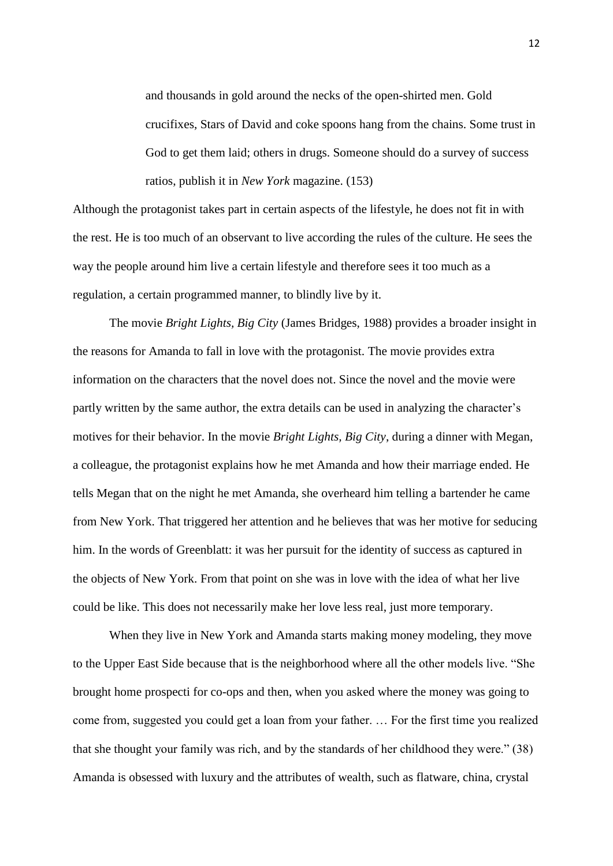and thousands in gold around the necks of the open-shirted men. Gold crucifixes, Stars of David and coke spoons hang from the chains. Some trust in God to get them laid; others in drugs. Someone should do a survey of success ratios, publish it in *New York* magazine. (153)

Although the protagonist takes part in certain aspects of the lifestyle, he does not fit in with the rest. He is too much of an observant to live according the rules of the culture. He sees the way the people around him live a certain lifestyle and therefore sees it too much as a regulation, a certain programmed manner, to blindly live by it.

The movie *Bright Lights, Big City* (James Bridges, 1988) provides a broader insight in the reasons for Amanda to fall in love with the protagonist. The movie provides extra information on the characters that the novel does not. Since the novel and the movie were partly written by the same author, the extra details can be used in analyzing the character's motives for their behavior. In the movie *Bright Lights, Big City*, during a dinner with Megan, a colleague, the protagonist explains how he met Amanda and how their marriage ended. He tells Megan that on the night he met Amanda, she overheard him telling a bartender he came from New York. That triggered her attention and he believes that was her motive for seducing him. In the words of Greenblatt: it was her pursuit for the identity of success as captured in the objects of New York. From that point on she was in love with the idea of what her live could be like. This does not necessarily make her love less real, just more temporary.

When they live in New York and Amanda starts making money modeling, they move to the Upper East Side because that is the neighborhood where all the other models live. "She brought home prospecti for co-ops and then, when you asked where the money was going to come from, suggested you could get a loan from your father. … For the first time you realized that she thought your family was rich, and by the standards of her childhood they were." (38) Amanda is obsessed with luxury and the attributes of wealth, such as flatware, china, crystal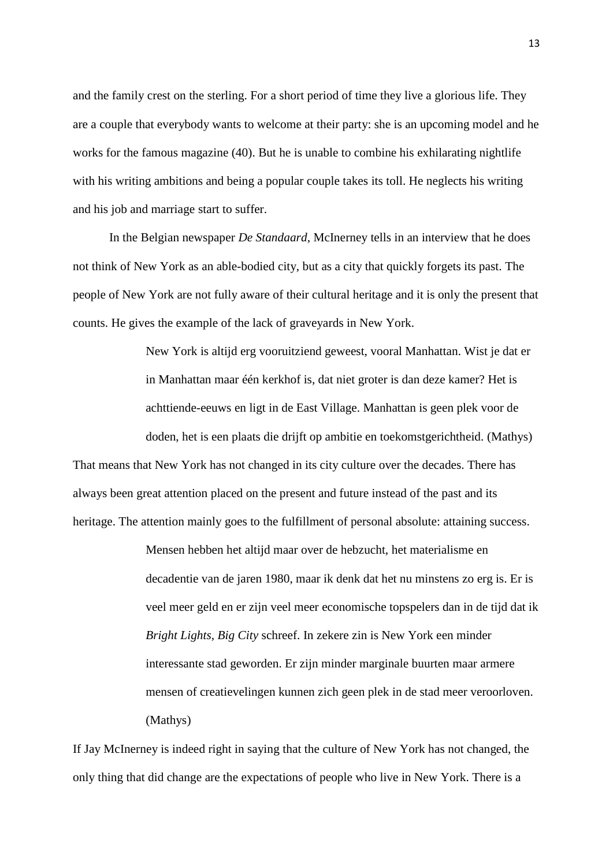and the family crest on the sterling. For a short period of time they live a glorious life. They are a couple that everybody wants to welcome at their party: she is an upcoming model and he works for the famous magazine (40). But he is unable to combine his exhilarating nightlife with his writing ambitions and being a popular couple takes its toll. He neglects his writing and his job and marriage start to suffer.

In the Belgian newspaper *De Standaard,* McInerney tells in an interview that he does not think of New York as an able-bodied city, but as a city that quickly forgets its past. The people of New York are not fully aware of their cultural heritage and it is only the present that counts. He gives the example of the lack of graveyards in New York.

> New York is altijd erg vooruitziend geweest, vooral Manhattan. Wist je dat er in Manhattan maar één kerkhof is, dat niet groter is dan deze kamer? Het is achttiende-eeuws en ligt in de East Village. Manhattan is geen plek voor de doden, het is een plaats die drijft op ambitie en toekomstgerichtheid. (Mathys)

That means that New York has not changed in its city culture over the decades. There has always been great attention placed on the present and future instead of the past and its heritage. The attention mainly goes to the fulfillment of personal absolute: attaining success.

> Mensen hebben het altijd maar over de hebzucht, het materialisme en decadentie van de jaren 1980, maar ik denk dat het nu minstens zo erg is. Er is veel meer geld en er zijn veel meer economische topspelers dan in de tijd dat ik *Bright Lights, Big City* schreef. In zekere zin is New York een minder interessante stad geworden. Er zijn minder marginale buurten maar armere mensen of creatievelingen kunnen zich geen plek in de stad meer veroorloven. (Mathys)

If Jay McInerney is indeed right in saying that the culture of New York has not changed, the only thing that did change are the expectations of people who live in New York. There is a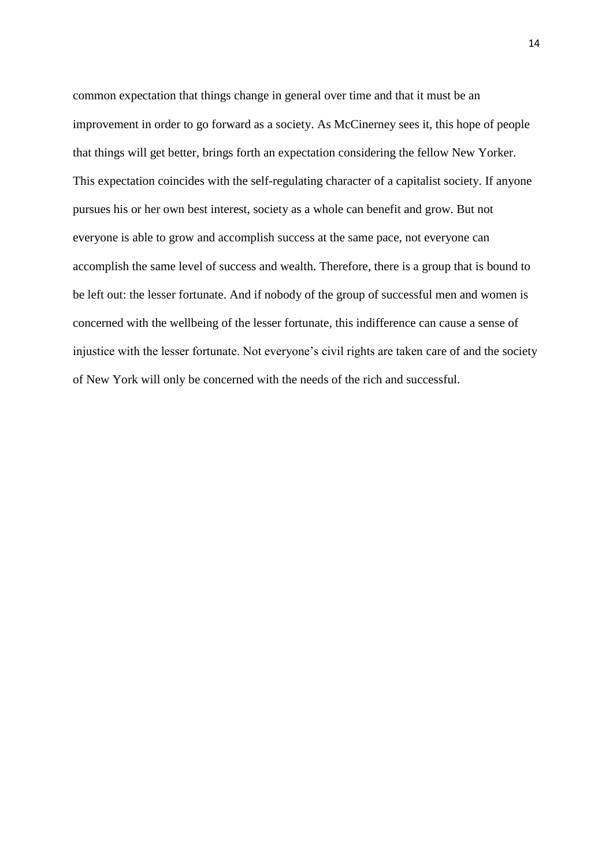common expectation that things change in general over time and that it must be an improvement in order to go forward as a society. As McCinerney sees it, this hope of people that things will get better, brings forth an expectation considering the fellow New Yorker. This expectation coincides with the self-regulating character of a capitalist society. If anyone pursues his or her own best interest, society as a whole can benefit and grow. But not everyone is able to grow and accomplish success at the same pace, not everyone can accomplish the same level of success and wealth. Therefore, there is a group that is bound to be left out: the lesser fortunate. And if nobody of the group of successful men and women is concerned with the wellbeing of the lesser fortunate, this indifference can cause a sense of injustice with the lesser fortunate. Not everyone's civil rights are taken care of and the society of New York will only be concerned with the needs of the rich and successful.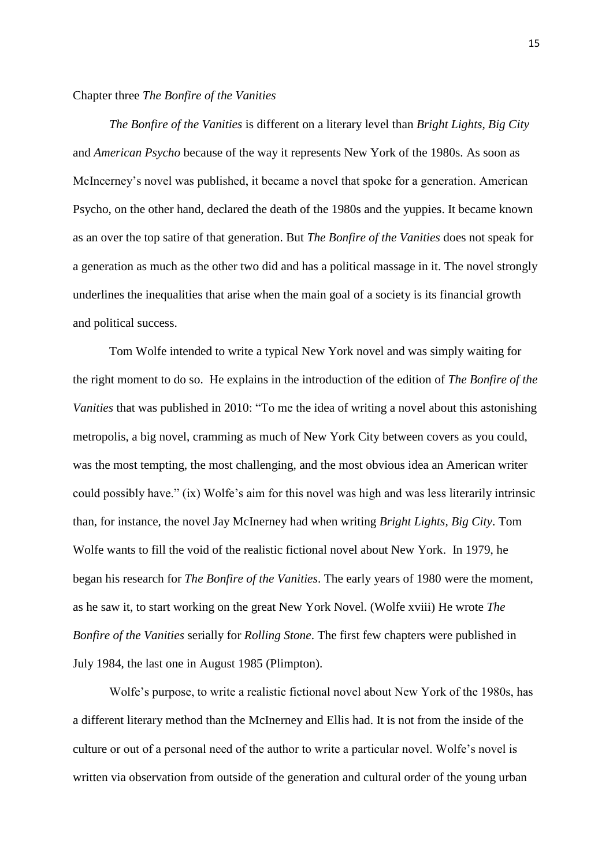## Chapter three *The Bonfire of the Vanities*

*The Bonfire of the Vanities* is different on a literary level than *Bright Lights, Big City* and *American Psycho* because of the way it represents New York of the 1980s. As soon as McIncerney's novel was published, it became a novel that spoke for a generation. American Psycho, on the other hand, declared the death of the 1980s and the yuppies. It became known as an over the top satire of that generation. But *The Bonfire of the Vanities* does not speak for a generation as much as the other two did and has a political massage in it. The novel strongly underlines the inequalities that arise when the main goal of a society is its financial growth and political success.

Tom Wolfe intended to write a typical New York novel and was simply waiting for the right moment to do so. He explains in the introduction of the edition of *The Bonfire of the Vanities* that was published in 2010: "To me the idea of writing a novel about this astonishing metropolis, a big novel, cramming as much of New York City between covers as you could, was the most tempting, the most challenging, and the most obvious idea an American writer could possibly have." (ix) Wolfe"s aim for this novel was high and was less literarily intrinsic than, for instance, the novel Jay McInerney had when writing *Bright Lights, Big City*. Tom Wolfe wants to fill the void of the realistic fictional novel about New York. In 1979, he began his research for *The Bonfire of the Vanities*. The early years of 1980 were the moment, as he saw it, to start working on the great New York Novel. (Wolfe xviii) He wrote *The Bonfire of the Vanities* serially for *Rolling Stone*. The first few chapters were published in July 1984, the last one in August 1985 (Plimpton).

Wolfe"s purpose, to write a realistic fictional novel about New York of the 1980s, has a different literary method than the McInerney and Ellis had. It is not from the inside of the culture or out of a personal need of the author to write a particular novel. Wolfe"s novel is written via observation from outside of the generation and cultural order of the young urban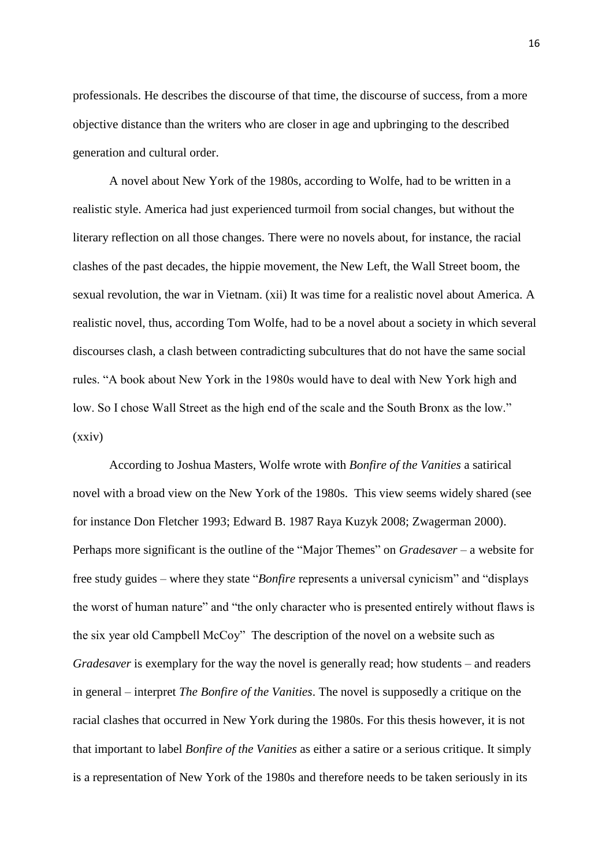professionals. He describes the discourse of that time, the discourse of success, from a more objective distance than the writers who are closer in age and upbringing to the described generation and cultural order.

A novel about New York of the 1980s, according to Wolfe, had to be written in a realistic style. America had just experienced turmoil from social changes, but without the literary reflection on all those changes. There were no novels about, for instance, the racial clashes of the past decades, the hippie movement, the New Left, the Wall Street boom, the sexual revolution, the war in Vietnam. (xii) It was time for a realistic novel about America. A realistic novel, thus, according Tom Wolfe, had to be a novel about a society in which several discourses clash, a clash between contradicting subcultures that do not have the same social rules. "A book about New York in the 1980s would have to deal with New York high and low. So I chose Wall Street as the high end of the scale and the South Bronx as the low." (xxiv)

According to Joshua Masters, Wolfe wrote with *Bonfire of the Vanities* a satirical novel with a broad view on the New York of the 1980s. This view seems widely shared (see for instance Don Fletcher 1993; Edward B. 1987 Raya Kuzyk 2008; Zwagerman 2000). Perhaps more significant is the outline of the "Major Themes" on *Gradesaver* – a website for free study guides – where they state "*Bonfire* represents a universal cynicism" and "displays the worst of human nature" and "the only character who is presented entirely without flaws is the six year old Campbell McCoy" The description of the novel on a website such as *Gradesaver* is exemplary for the way the novel is generally read; how students – and readers in general – interpret *The Bonfire of the Vanities*. The novel is supposedly a critique on the racial clashes that occurred in New York during the 1980s. For this thesis however, it is not that important to label *Bonfire of the Vanities* as either a satire or a serious critique. It simply is a representation of New York of the 1980s and therefore needs to be taken seriously in its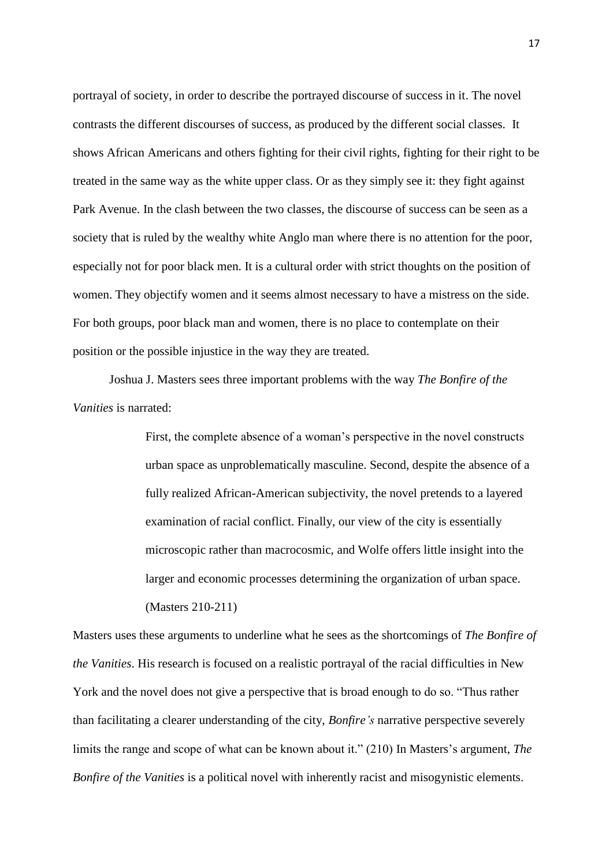portrayal of society, in order to describe the portrayed discourse of success in it. The novel contrasts the different discourses of success, as produced by the different social classes. It shows African Americans and others fighting for their civil rights, fighting for their right to be treated in the same way as the white upper class. Or as they simply see it: they fight against Park Avenue. In the clash between the two classes, the discourse of success can be seen as a society that is ruled by the wealthy white Anglo man where there is no attention for the poor, especially not for poor black men. It is a cultural order with strict thoughts on the position of women. They objectify women and it seems almost necessary to have a mistress on the side. For both groups, poor black man and women, there is no place to contemplate on their position or the possible injustice in the way they are treated.

Joshua J. Masters sees three important problems with the way *The Bonfire of the Vanities* is narrated:

> First, the complete absence of a woman"s perspective in the novel constructs urban space as unproblematically masculine. Second, despite the absence of a fully realized African-American subjectivity, the novel pretends to a layered examination of racial conflict. Finally, our view of the city is essentially microscopic rather than macrocosmic, and Wolfe offers little insight into the larger and economic processes determining the organization of urban space. (Masters 210-211)

Masters uses these arguments to underline what he sees as the shortcomings of *The Bonfire of the Vanities*. His research is focused on a realistic portrayal of the racial difficulties in New York and the novel does not give a perspective that is broad enough to do so. "Thus rather than facilitating a clearer understanding of the city, *Bonfire's* narrative perspective severely limits the range and scope of what can be known about it." (210) In Masters's argument, *The Bonfire of the Vanities* is a political novel with inherently racist and misogynistic elements.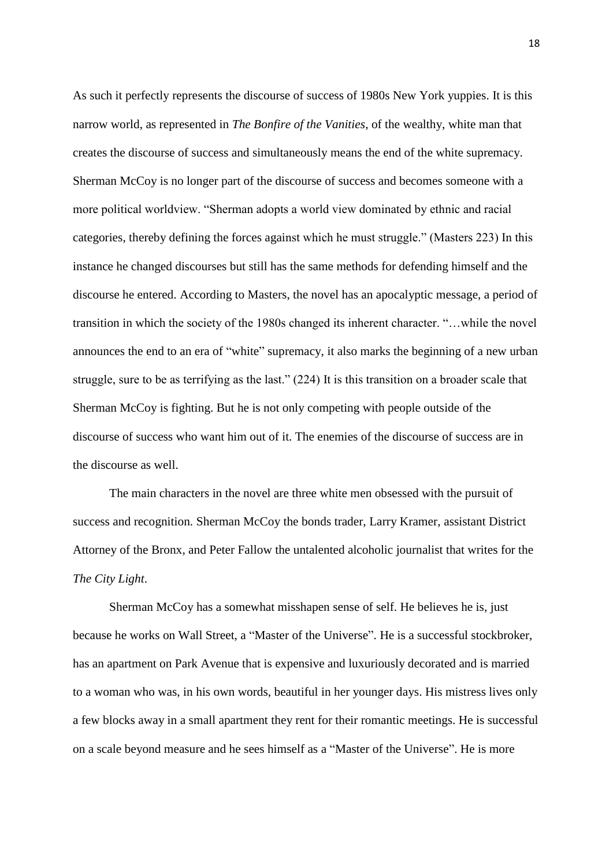As such it perfectly represents the discourse of success of 1980s New York yuppies. It is this narrow world, as represented in *The Bonfire of the Vanities*, of the wealthy, white man that creates the discourse of success and simultaneously means the end of the white supremacy. Sherman McCoy is no longer part of the discourse of success and becomes someone with a more political worldview. "Sherman adopts a world view dominated by ethnic and racial categories, thereby defining the forces against which he must struggle." (Masters 223) In this instance he changed discourses but still has the same methods for defending himself and the discourse he entered. According to Masters, the novel has an apocalyptic message, a period of transition in which the society of the 1980s changed its inherent character. "…while the novel announces the end to an era of "white" supremacy, it also marks the beginning of a new urban struggle, sure to be as terrifying as the last." (224) It is this transition on a broader scale that Sherman McCoy is fighting. But he is not only competing with people outside of the discourse of success who want him out of it. The enemies of the discourse of success are in the discourse as well.

The main characters in the novel are three white men obsessed with the pursuit of success and recognition. Sherman McCoy the bonds trader, Larry Kramer, assistant District Attorney of the Bronx, and Peter Fallow the untalented alcoholic journalist that writes for the *The City Light*.

Sherman McCoy has a somewhat misshapen sense of self. He believes he is, just because he works on Wall Street, a "Master of the Universe". He is a successful stockbroker, has an apartment on Park Avenue that is expensive and luxuriously decorated and is married to a woman who was, in his own words, beautiful in her younger days. His mistress lives only a few blocks away in a small apartment they rent for their romantic meetings. He is successful on a scale beyond measure and he sees himself as a "Master of the Universe". He is more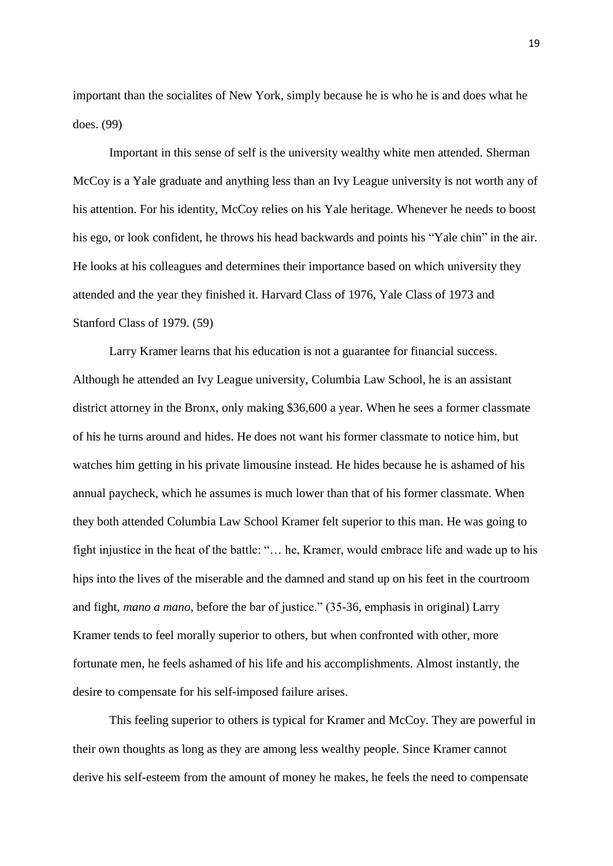important than the socialites of New York, simply because he is who he is and does what he does. (99)

Important in this sense of self is the university wealthy white men attended. Sherman McCoy is a Yale graduate and anything less than an Ivy League university is not worth any of his attention. For his identity, McCoy relies on his Yale heritage. Whenever he needs to boost his ego, or look confident, he throws his head backwards and points his "Yale chin" in the air. He looks at his colleagues and determines their importance based on which university they attended and the year they finished it. Harvard Class of 1976, Yale Class of 1973 and Stanford Class of 1979. (59)

Larry Kramer learns that his education is not a guarantee for financial success. Although he attended an Ivy League university, Columbia Law School, he is an assistant district attorney in the Bronx, only making \$36,600 a year. When he sees a former classmate of his he turns around and hides. He does not want his former classmate to notice him, but watches him getting in his private limousine instead. He hides because he is ashamed of his annual paycheck, which he assumes is much lower than that of his former classmate. When they both attended Columbia Law School Kramer felt superior to this man. He was going to fight injustice in the heat of the battle: "… he, Kramer, would embrace life and wade up to his hips into the lives of the miserable and the damned and stand up on his feet in the courtroom and fight, *mano a mano*, before the bar of justice." (35-36, emphasis in original) Larry Kramer tends to feel morally superior to others, but when confronted with other, more fortunate men, he feels ashamed of his life and his accomplishments. Almost instantly, the desire to compensate for his self-imposed failure arises.

This feeling superior to others is typical for Kramer and McCoy. They are powerful in their own thoughts as long as they are among less wealthy people. Since Kramer cannot derive his self-esteem from the amount of money he makes, he feels the need to compensate

19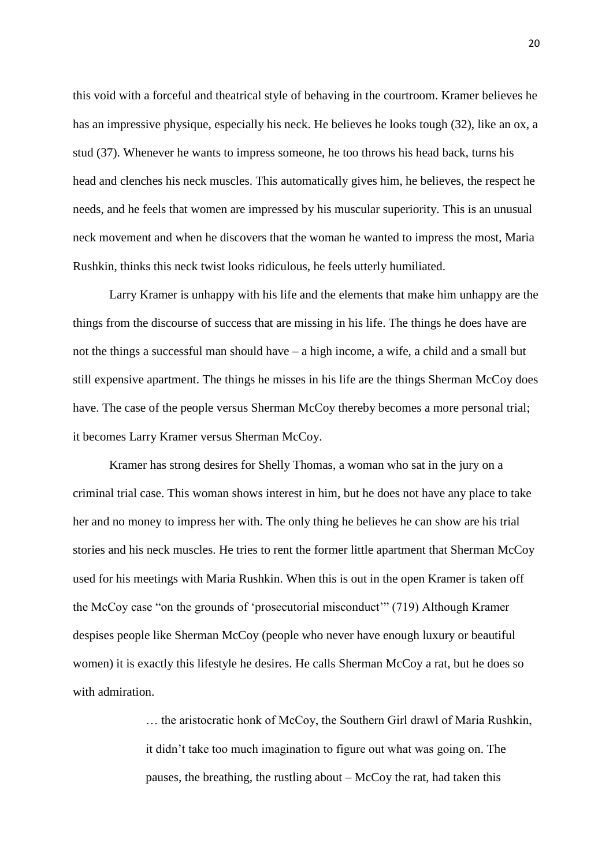this void with a forceful and theatrical style of behaving in the courtroom. Kramer believes he has an impressive physique, especially his neck. He believes he looks tough (32), like an ox, a stud (37). Whenever he wants to impress someone, he too throws his head back, turns his head and clenches his neck muscles. This automatically gives him, he believes, the respect he needs, and he feels that women are impressed by his muscular superiority. This is an unusual neck movement and when he discovers that the woman he wanted to impress the most, Maria Rushkin, thinks this neck twist looks ridiculous, he feels utterly humiliated.

Larry Kramer is unhappy with his life and the elements that make him unhappy are the things from the discourse of success that are missing in his life. The things he does have are not the things a successful man should have – a high income, a wife, a child and a small but still expensive apartment. The things he misses in his life are the things Sherman McCoy does have. The case of the people versus Sherman McCoy thereby becomes a more personal trial; it becomes Larry Kramer versus Sherman McCoy.

Kramer has strong desires for Shelly Thomas, a woman who sat in the jury on a criminal trial case. This woman shows interest in him, but he does not have any place to take her and no money to impress her with. The only thing he believes he can show are his trial stories and his neck muscles. He tries to rent the former little apartment that Sherman McCoy used for his meetings with Maria Rushkin. When this is out in the open Kramer is taken off the McCoy case "on the grounds of "prosecutorial misconduct"" (719) Although Kramer despises people like Sherman McCoy (people who never have enough luxury or beautiful women) it is exactly this lifestyle he desires. He calls Sherman McCoy a rat, but he does so with admiration.

> … the aristocratic honk of McCoy, the Southern Girl drawl of Maria Rushkin, it didn"t take too much imagination to figure out what was going on. The pauses, the breathing, the rustling about – McCoy the rat, had taken this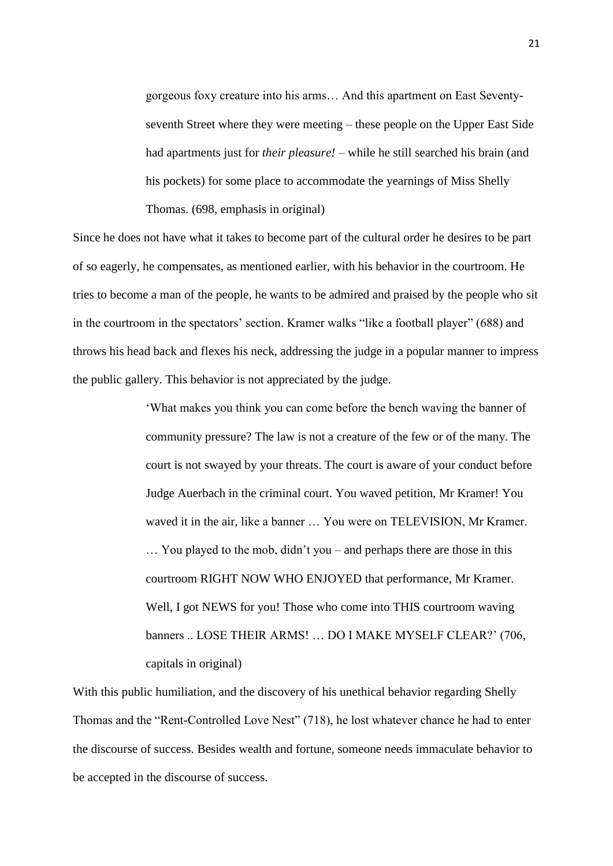gorgeous foxy creature into his arms… And this apartment on East Seventyseventh Street where they were meeting – these people on the Upper East Side had apartments just for *their pleasure!* – while he still searched his brain (and his pockets) for some place to accommodate the yearnings of Miss Shelly Thomas. (698, emphasis in original)

Since he does not have what it takes to become part of the cultural order he desires to be part of so eagerly, he compensates, as mentioned earlier, with his behavior in the courtroom. He tries to become a man of the people, he wants to be admired and praised by the people who sit in the courtroom in the spectators' section. Kramer walks "like a football player" (688) and throws his head back and flexes his neck, addressing the judge in a popular manner to impress the public gallery. This behavior is not appreciated by the judge.

> "What makes you think you can come before the bench waving the banner of community pressure? The law is not a creature of the few or of the many. The court is not swayed by your threats. The court is aware of your conduct before Judge Auerbach in the criminal court. You waved petition, Mr Kramer! You waved it in the air, like a banner … You were on TELEVISION, Mr Kramer. … You played to the mob, didn"t you – and perhaps there are those in this courtroom RIGHT NOW WHO ENJOYED that performance, Mr Kramer. Well, I got NEWS for you! Those who come into THIS courtroom waving banners .. LOSE THEIR ARMS! ... DO I MAKE MYSELF CLEAR?' (706, capitals in original)

With this public humiliation, and the discovery of his unethical behavior regarding Shelly Thomas and the "Rent-Controlled Love Nest" (718), he lost whatever chance he had to enter the discourse of success. Besides wealth and fortune, someone needs immaculate behavior to be accepted in the discourse of success.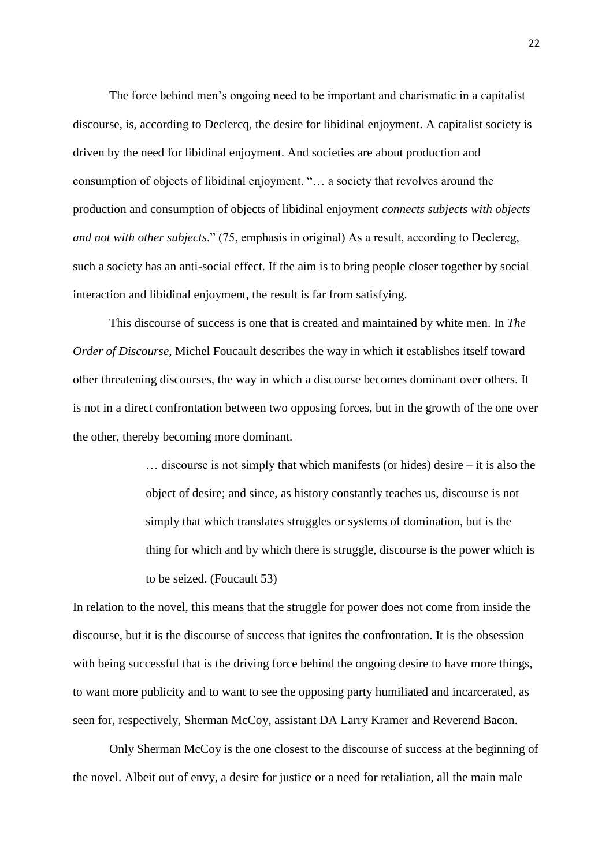The force behind men"s ongoing need to be important and charismatic in a capitalist discourse, is, according to Declercq, the desire for libidinal enjoyment. A capitalist society is driven by the need for libidinal enjoyment. And societies are about production and consumption of objects of libidinal enjoyment. "… a society that revolves around the production and consumption of objects of libidinal enjoyment *connects subjects with objects and not with other subjects*." (75, emphasis in original) As a result, according to Declercg, such a society has an anti-social effect. If the aim is to bring people closer together by social interaction and libidinal enjoyment, the result is far from satisfying.

This discourse of success is one that is created and maintained by white men. In *The Order of Discourse*, Michel Foucault describes the way in which it establishes itself toward other threatening discourses, the way in which a discourse becomes dominant over others. It is not in a direct confrontation between two opposing forces, but in the growth of the one over the other, thereby becoming more dominant.

> … discourse is not simply that which manifests (or hides) desire – it is also the object of desire; and since, as history constantly teaches us, discourse is not simply that which translates struggles or systems of domination, but is the thing for which and by which there is struggle, discourse is the power which is to be seized. (Foucault 53)

In relation to the novel, this means that the struggle for power does not come from inside the discourse, but it is the discourse of success that ignites the confrontation. It is the obsession with being successful that is the driving force behind the ongoing desire to have more things, to want more publicity and to want to see the opposing party humiliated and incarcerated, as seen for, respectively, Sherman McCoy, assistant DA Larry Kramer and Reverend Bacon.

Only Sherman McCoy is the one closest to the discourse of success at the beginning of the novel. Albeit out of envy, a desire for justice or a need for retaliation, all the main male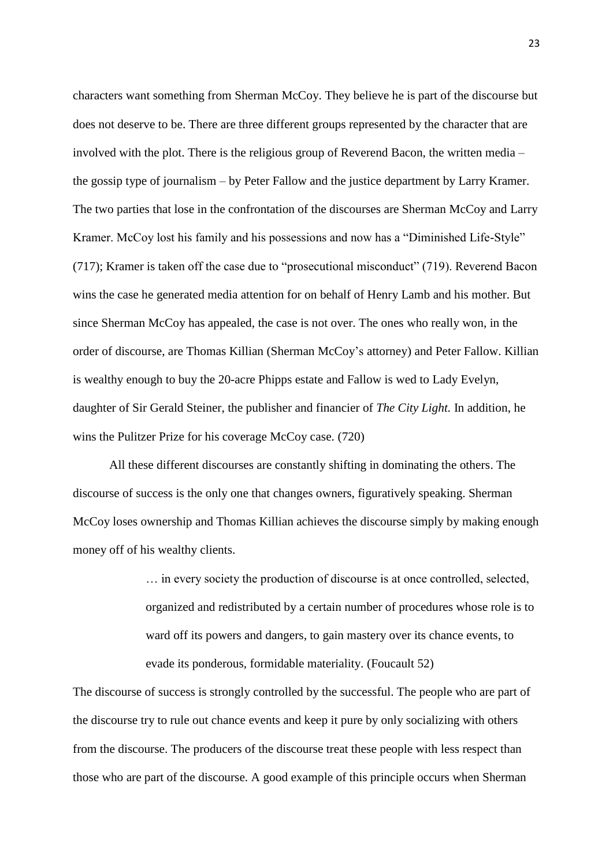characters want something from Sherman McCoy. They believe he is part of the discourse but does not deserve to be. There are three different groups represented by the character that are involved with the plot. There is the religious group of Reverend Bacon, the written media – the gossip type of journalism – by Peter Fallow and the justice department by Larry Kramer. The two parties that lose in the confrontation of the discourses are Sherman McCoy and Larry Kramer. McCoy lost his family and his possessions and now has a "Diminished Life-Style" (717); Kramer is taken off the case due to "prosecutional misconduct" (719). Reverend Bacon wins the case he generated media attention for on behalf of Henry Lamb and his mother. But since Sherman McCoy has appealed, the case is not over. The ones who really won, in the order of discourse, are Thomas Killian (Sherman McCoy"s attorney) and Peter Fallow. Killian is wealthy enough to buy the 20-acre Phipps estate and Fallow is wed to Lady Evelyn, daughter of Sir Gerald Steiner, the publisher and financier of *The City Light.* In addition, he wins the Pulitzer Prize for his coverage McCoy case. (720)

All these different discourses are constantly shifting in dominating the others. The discourse of success is the only one that changes owners, figuratively speaking. Sherman McCoy loses ownership and Thomas Killian achieves the discourse simply by making enough money off of his wealthy clients.

> … in every society the production of discourse is at once controlled, selected, organized and redistributed by a certain number of procedures whose role is to ward off its powers and dangers, to gain mastery over its chance events, to evade its ponderous, formidable materiality. (Foucault 52)

The discourse of success is strongly controlled by the successful. The people who are part of the discourse try to rule out chance events and keep it pure by only socializing with others from the discourse. The producers of the discourse treat these people with less respect than those who are part of the discourse. A good example of this principle occurs when Sherman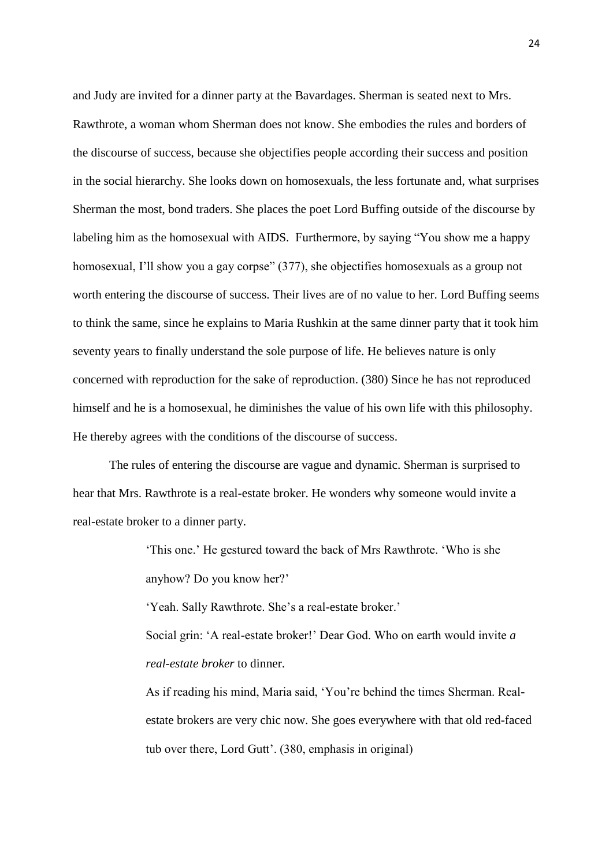and Judy are invited for a dinner party at the Bavardages. Sherman is seated next to Mrs. Rawthrote, a woman whom Sherman does not know. She embodies the rules and borders of the discourse of success, because she objectifies people according their success and position in the social hierarchy. She looks down on homosexuals, the less fortunate and, what surprises Sherman the most, bond traders. She places the poet Lord Buffing outside of the discourse by labeling him as the homosexual with AIDS. Furthermore, by saying "You show me a happy homosexual, I'll show you a gay corpse" (377), she objectifies homosexuals as a group not worth entering the discourse of success. Their lives are of no value to her. Lord Buffing seems to think the same, since he explains to Maria Rushkin at the same dinner party that it took him seventy years to finally understand the sole purpose of life. He believes nature is only concerned with reproduction for the sake of reproduction. (380) Since he has not reproduced himself and he is a homosexual, he diminishes the value of his own life with this philosophy. He thereby agrees with the conditions of the discourse of success.

The rules of entering the discourse are vague and dynamic. Sherman is surprised to hear that Mrs. Rawthrote is a real-estate broker. He wonders why someone would invite a real-estate broker to a dinner party.

> "This one." He gestured toward the back of Mrs Rawthrote. "Who is she anyhow? Do you know her?"

'Yeah. Sally Rawthrote. She's a real-estate broker.'

Social grin: "A real-estate broker!" Dear God. Who on earth would invite *a real-estate broker* to dinner.

As if reading his mind, Maria said, "You"re behind the times Sherman. Realestate brokers are very chic now. She goes everywhere with that old red-faced tub over there, Lord Gutt". (380, emphasis in original)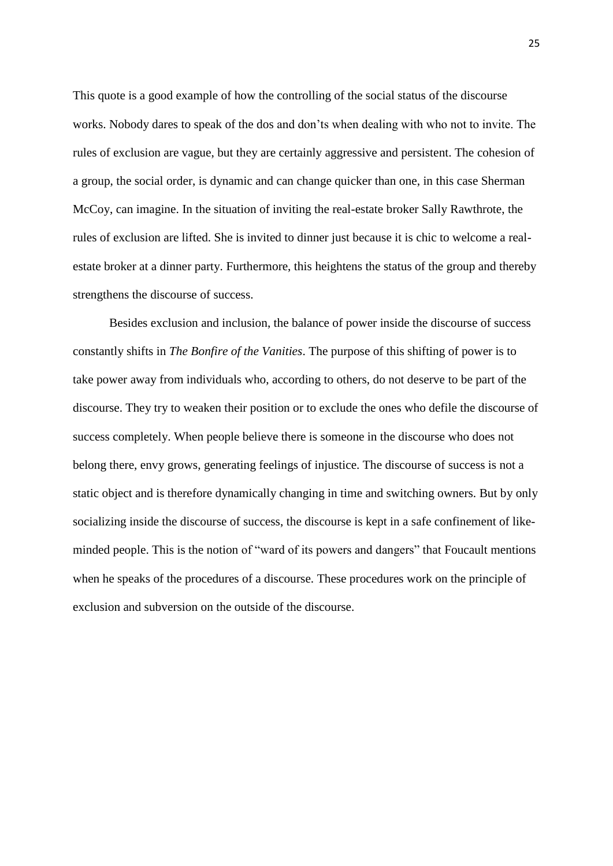This quote is a good example of how the controlling of the social status of the discourse works. Nobody dares to speak of the dos and don"ts when dealing with who not to invite. The rules of exclusion are vague, but they are certainly aggressive and persistent. The cohesion of a group, the social order, is dynamic and can change quicker than one, in this case Sherman McCoy, can imagine. In the situation of inviting the real-estate broker Sally Rawthrote, the rules of exclusion are lifted. She is invited to dinner just because it is chic to welcome a realestate broker at a dinner party. Furthermore, this heightens the status of the group and thereby strengthens the discourse of success.

Besides exclusion and inclusion, the balance of power inside the discourse of success constantly shifts in *The Bonfire of the Vanities*. The purpose of this shifting of power is to take power away from individuals who, according to others, do not deserve to be part of the discourse. They try to weaken their position or to exclude the ones who defile the discourse of success completely. When people believe there is someone in the discourse who does not belong there, envy grows, generating feelings of injustice. The discourse of success is not a static object and is therefore dynamically changing in time and switching owners. But by only socializing inside the discourse of success, the discourse is kept in a safe confinement of likeminded people. This is the notion of "ward of its powers and dangers" that Foucault mentions when he speaks of the procedures of a discourse. These procedures work on the principle of exclusion and subversion on the outside of the discourse.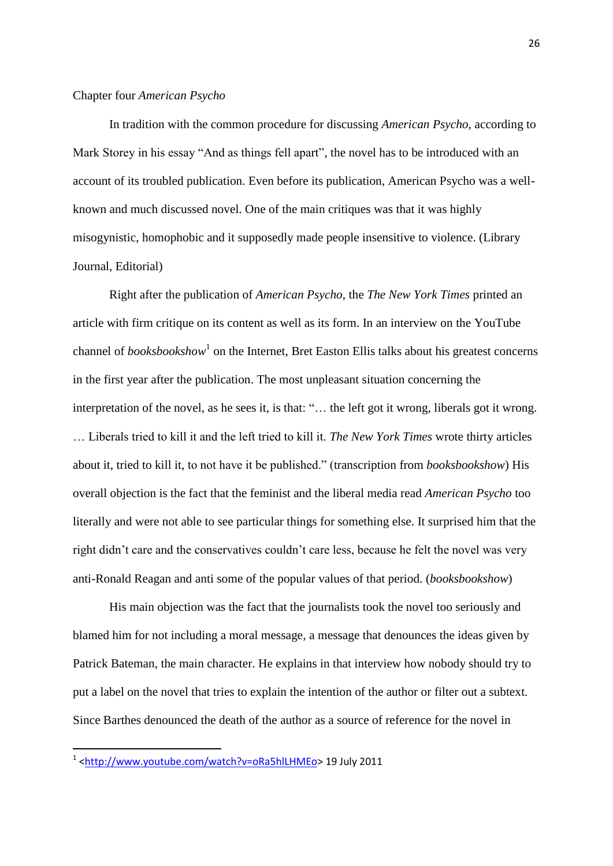## Chapter four *American Psycho*

In tradition with the common procedure for discussing *American Psycho*, according to Mark Storey in his essay "And as things fell apart", the novel has to be introduced with an account of its troubled publication. Even before its publication, American Psycho was a wellknown and much discussed novel. One of the main critiques was that it was highly misogynistic, homophobic and it supposedly made people insensitive to violence. (Library Journal, Editorial)

Right after the publication of *American Psycho*, the *The New York Times* printed an article with firm critique on its content as well as its form. In an interview on the YouTube channel of *booksbookshow*<sup>1</sup> on the Internet, Bret Easton Ellis talks about his greatest concerns in the first year after the publication. The most unpleasant situation concerning the interpretation of the novel, as he sees it, is that: "… the left got it wrong, liberals got it wrong. … Liberals tried to kill it and the left tried to kill it. *The New York Times* wrote thirty articles about it, tried to kill it, to not have it be published." (transcription from *booksbookshow*) His overall objection is the fact that the feminist and the liberal media read *American Psycho* too literally and were not able to see particular things for something else. It surprised him that the right didn't care and the conservatives couldn't care less, because he felt the novel was very anti-Ronald Reagan and anti some of the popular values of that period. (*booksbookshow*)

His main objection was the fact that the journalists took the novel too seriously and blamed him for not including a moral message, a message that denounces the ideas given by Patrick Bateman, the main character. He explains in that interview how nobody should try to put a label on the novel that tries to explain the intention of the author or filter out a subtext. Since Barthes denounced the death of the author as a source of reference for the novel in

**.** 

<sup>&</sup>lt;sup>1</sup> [<http://www.youtube.com/watch?v=oRa5hlLHMEo>](http://www.youtube.com/watch?v=oRa5hlLHMEo) 19 July 2011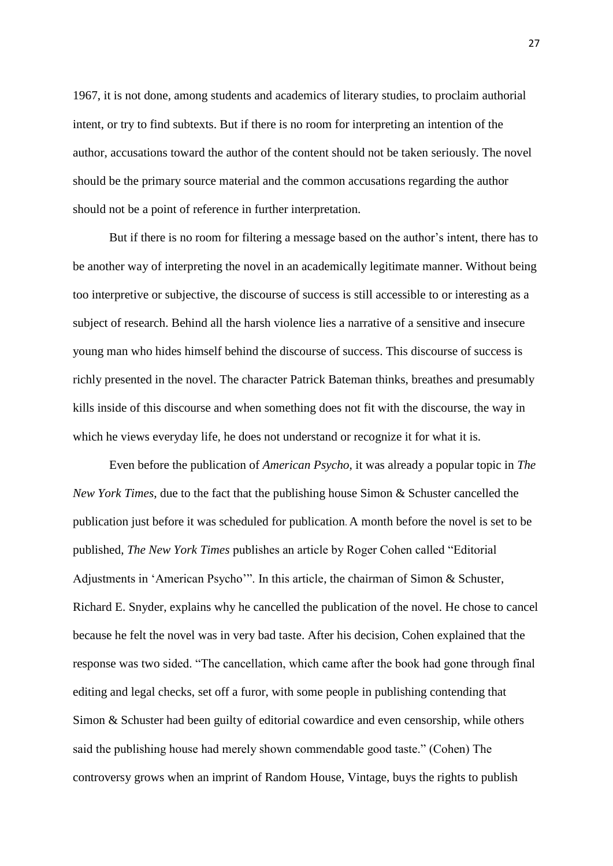1967, it is not done, among students and academics of literary studies, to proclaim authorial intent, or try to find subtexts. But if there is no room for interpreting an intention of the author, accusations toward the author of the content should not be taken seriously. The novel should be the primary source material and the common accusations regarding the author should not be a point of reference in further interpretation.

But if there is no room for filtering a message based on the author's intent, there has to be another way of interpreting the novel in an academically legitimate manner. Without being too interpretive or subjective, the discourse of success is still accessible to or interesting as a subject of research. Behind all the harsh violence lies a narrative of a sensitive and insecure young man who hides himself behind the discourse of success. This discourse of success is richly presented in the novel. The character Patrick Bateman thinks, breathes and presumably kills inside of this discourse and when something does not fit with the discourse, the way in which he views everyday life, he does not understand or recognize it for what it is.

Even before the publication of *American Psycho*, it was already a popular topic in *The New York Times*, due to the fact that the publishing house Simon & Schuster cancelled the publication just before it was scheduled for publication. A month before the novel is set to be published, *The New York Times* publishes an article by Roger Cohen called "Editorial Adjustments in "American Psycho"". In this article, the chairman of Simon & Schuster, Richard E. Snyder, explains why he cancelled the publication of the novel. He chose to cancel because he felt the novel was in very bad taste. After his decision, Cohen explained that the response was two sided. "The cancellation, which came after the book had gone through final editing and legal checks, set off a furor, with some people in publishing contending that Simon & Schuster had been guilty of editorial cowardice and even censorship, while others said the publishing house had merely shown commendable good taste." (Cohen) The controversy grows when an imprint of Random House, Vintage, buys the rights to publish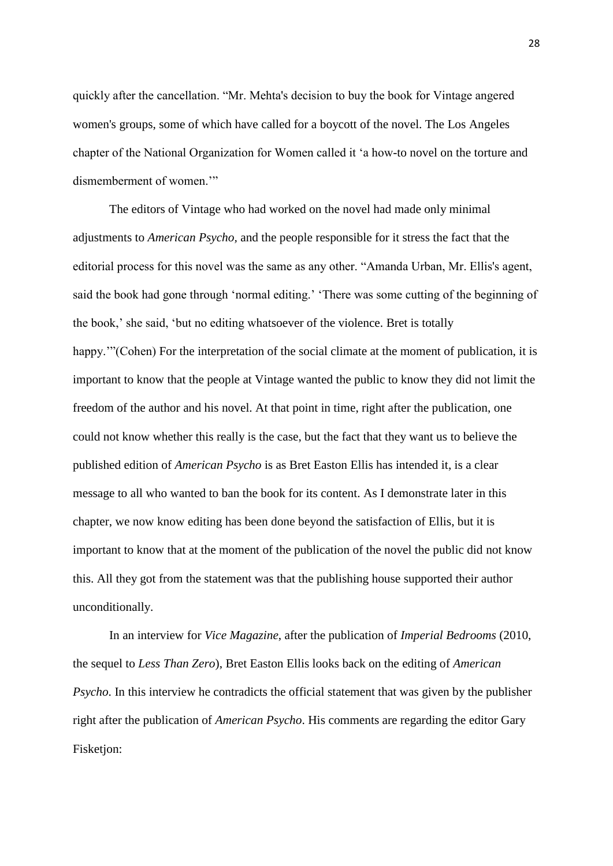quickly after the cancellation. "Mr. Mehta's decision to buy the book for Vintage angered women's groups, some of which have called for a boycott of the novel. The Los Angeles chapter of the National Organization for Women called it "a how-to novel on the torture and dismemberment of women.""

The editors of Vintage who had worked on the novel had made only minimal adjustments to *American Psycho,* and the people responsible for it stress the fact that the editorial process for this novel was the same as any other. "Amanda Urban, Mr. Ellis's agent, said the book had gone through "normal editing." "There was some cutting of the beginning of the book," she said, "but no editing whatsoever of the violence. Bret is totally happy.""(Cohen) For the interpretation of the social climate at the moment of publication, it is important to know that the people at Vintage wanted the public to know they did not limit the freedom of the author and his novel. At that point in time, right after the publication, one could not know whether this really is the case, but the fact that they want us to believe the published edition of *American Psycho* is as Bret Easton Ellis has intended it, is a clear message to all who wanted to ban the book for its content. As I demonstrate later in this chapter, we now know editing has been done beyond the satisfaction of Ellis, but it is important to know that at the moment of the publication of the novel the public did not know this. All they got from the statement was that the publishing house supported their author unconditionally.

In an interview for *Vice Magazine*, after the publication of *Imperial Bedrooms* (2010, the sequel to *Less Than Zero*), Bret Easton Ellis looks back on the editing of *American Psycho*. In this interview he contradicts the official statement that was given by the publisher right after the publication of *American Psycho*. His comments are regarding the editor Gary Fisketion: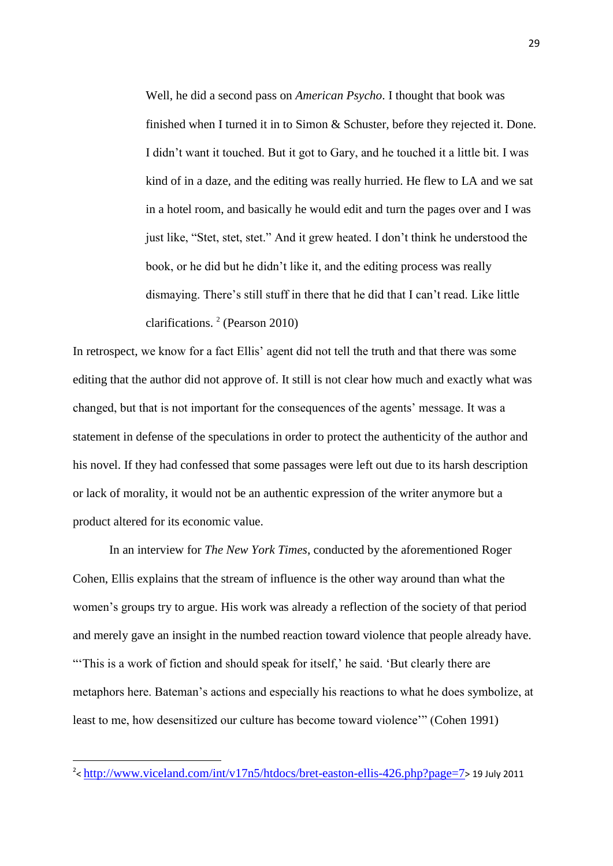Well, he did a second pass on *American Psycho*. I thought that book was finished when I turned it in to Simon & Schuster, before they rejected it. Done. I didn"t want it touched. But it got to Gary, and he touched it a little bit. I was kind of in a daze, and the editing was really hurried. He flew to LA and we sat in a hotel room, and basically he would edit and turn the pages over and I was just like, "Stet, stet, stet." And it grew heated. I don"t think he understood the book, or he did but he didn"t like it, and the editing process was really dismaying. There"s still stuff in there that he did that I can"t read. Like little clarifications.<sup>2</sup> (Pearson 2010)

In retrospect, we know for a fact Ellis' agent did not tell the truth and that there was some editing that the author did not approve of. It still is not clear how much and exactly what was changed, but that is not important for the consequences of the agents" message. It was a statement in defense of the speculations in order to protect the authenticity of the author and his novel. If they had confessed that some passages were left out due to its harsh description or lack of morality, it would not be an authentic expression of the writer anymore but a product altered for its economic value.

In an interview for *The New York Times*, conducted by the aforementioned Roger Cohen, Ellis explains that the stream of influence is the other way around than what the women"s groups try to argue. His work was already a reflection of the society of that period and merely gave an insight in the numbed reaction toward violence that people already have. "This is a work of fiction and should speak for itself,' he said. 'But clearly there are metaphors here. Bateman"s actions and especially his reactions to what he does symbolize, at least to me, how desensitized our culture has become toward violence"" (Cohen 1991)

**.** 

<sup>&</sup>lt;sup>2</sup>< <http://www.viceland.com/int/v17n5/htdocs/bret-easton-ellis-426.php?page=7>> 19 July 2011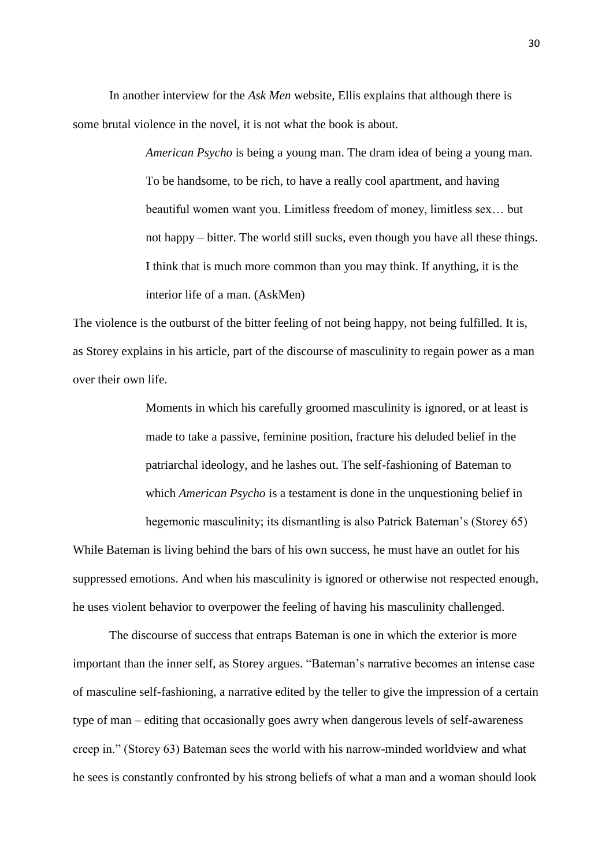In another interview for the *Ask Men* website, Ellis explains that although there is some brutal violence in the novel, it is not what the book is about.

> *American Psycho* is being a young man. The dram idea of being a young man. To be handsome, to be rich, to have a really cool apartment, and having beautiful women want you. Limitless freedom of money, limitless sex… but not happy – bitter. The world still sucks, even though you have all these things. I think that is much more common than you may think. If anything, it is the interior life of a man. (AskMen)

The violence is the outburst of the bitter feeling of not being happy, not being fulfilled. It is, as Storey explains in his article, part of the discourse of masculinity to regain power as a man over their own life.

> Moments in which his carefully groomed masculinity is ignored, or at least is made to take a passive, feminine position, fracture his deluded belief in the patriarchal ideology, and he lashes out. The self-fashioning of Bateman to which *American Psycho* is a testament is done in the unquestioning belief in hegemonic masculinity; its dismantling is also Patrick Bateman's (Storey 65)

While Bateman is living behind the bars of his own success, he must have an outlet for his suppressed emotions. And when his masculinity is ignored or otherwise not respected enough, he uses violent behavior to overpower the feeling of having his masculinity challenged.

The discourse of success that entraps Bateman is one in which the exterior is more important than the inner self, as Storey argues. "Bateman"s narrative becomes an intense case of masculine self-fashioning, a narrative edited by the teller to give the impression of a certain type of man – editing that occasionally goes awry when dangerous levels of self-awareness creep in." (Storey 63) Bateman sees the world with his narrow-minded worldview and what he sees is constantly confronted by his strong beliefs of what a man and a woman should look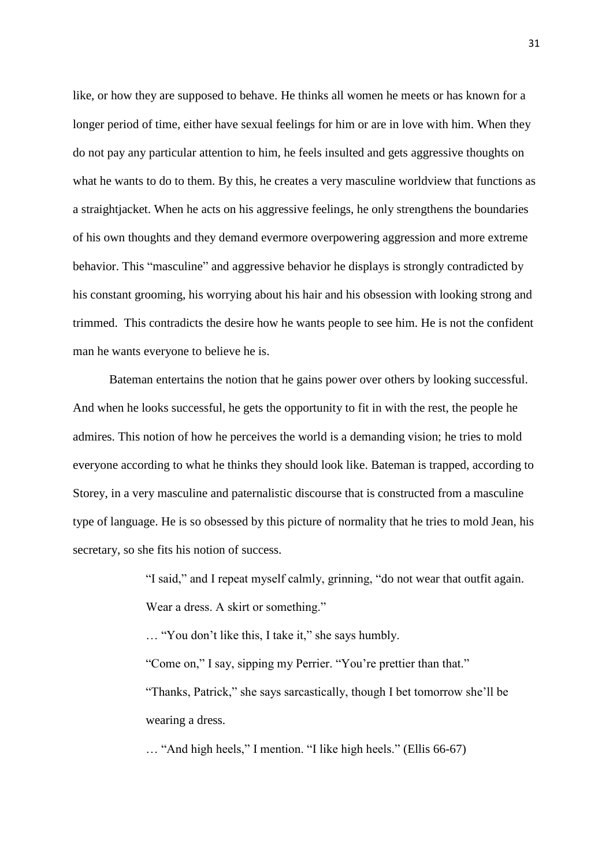like, or how they are supposed to behave. He thinks all women he meets or has known for a longer period of time, either have sexual feelings for him or are in love with him. When they do not pay any particular attention to him, he feels insulted and gets aggressive thoughts on what he wants to do to them. By this, he creates a very masculine worldview that functions as a straightjacket. When he acts on his aggressive feelings, he only strengthens the boundaries of his own thoughts and they demand evermore overpowering aggression and more extreme behavior. This "masculine" and aggressive behavior he displays is strongly contradicted by his constant grooming, his worrying about his hair and his obsession with looking strong and trimmed. This contradicts the desire how he wants people to see him. He is not the confident man he wants everyone to believe he is.

Bateman entertains the notion that he gains power over others by looking successful. And when he looks successful, he gets the opportunity to fit in with the rest, the people he admires. This notion of how he perceives the world is a demanding vision; he tries to mold everyone according to what he thinks they should look like. Bateman is trapped, according to Storey, in a very masculine and paternalistic discourse that is constructed from a masculine type of language. He is so obsessed by this picture of normality that he tries to mold Jean, his secretary, so she fits his notion of success.

> "I said," and I repeat myself calmly, grinning, "do not wear that outfit again. Wear a dress. A skirt or something."

… "You don"t like this, I take it," she says humbly.

"Come on," I say, sipping my Perrier. "You"re prettier than that."

"Thanks, Patrick," she says sarcastically, though I bet tomorrow she"ll be wearing a dress.

… "And high heels," I mention. "I like high heels." (Ellis 66-67)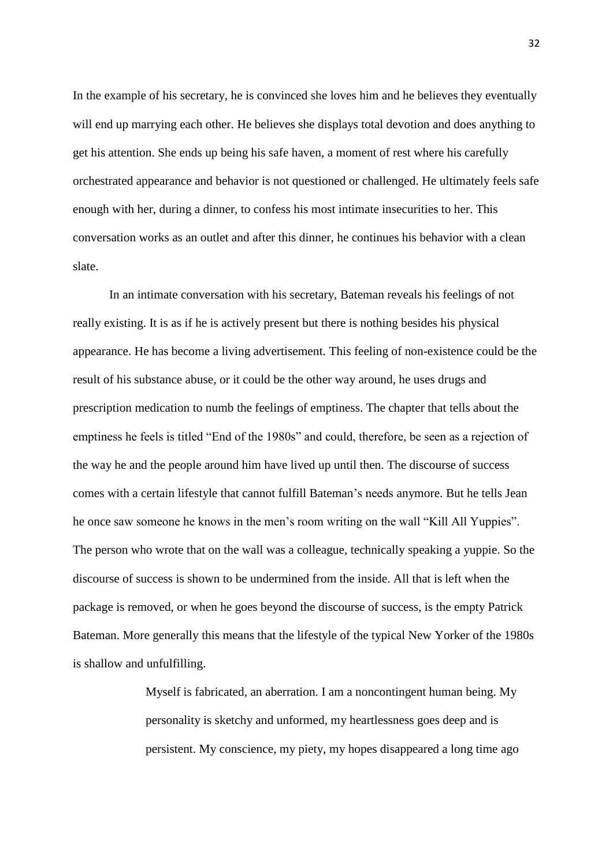In the example of his secretary, he is convinced she loves him and he believes they eventually will end up marrying each other. He believes she displays total devotion and does anything to get his attention. She ends up being his safe haven, a moment of rest where his carefully orchestrated appearance and behavior is not questioned or challenged. He ultimately feels safe enough with her, during a dinner, to confess his most intimate insecurities to her. This conversation works as an outlet and after this dinner, he continues his behavior with a clean slate.

In an intimate conversation with his secretary, Bateman reveals his feelings of not really existing. It is as if he is actively present but there is nothing besides his physical appearance. He has become a living advertisement. This feeling of non-existence could be the result of his substance abuse, or it could be the other way around, he uses drugs and prescription medication to numb the feelings of emptiness. The chapter that tells about the emptiness he feels is titled "End of the 1980s" and could, therefore, be seen as a rejection of the way he and the people around him have lived up until then. The discourse of success comes with a certain lifestyle that cannot fulfill Bateman"s needs anymore. But he tells Jean he once saw someone he knows in the men"s room writing on the wall "Kill All Yuppies". The person who wrote that on the wall was a colleague, technically speaking a yuppie. So the discourse of success is shown to be undermined from the inside. All that is left when the package is removed, or when he goes beyond the discourse of success, is the empty Patrick Bateman. More generally this means that the lifestyle of the typical New Yorker of the 1980s is shallow and unfulfilling.

> Myself is fabricated, an aberration. I am a noncontingent human being. My personality is sketchy and unformed, my heartlessness goes deep and is persistent. My conscience, my piety, my hopes disappeared a long time ago

32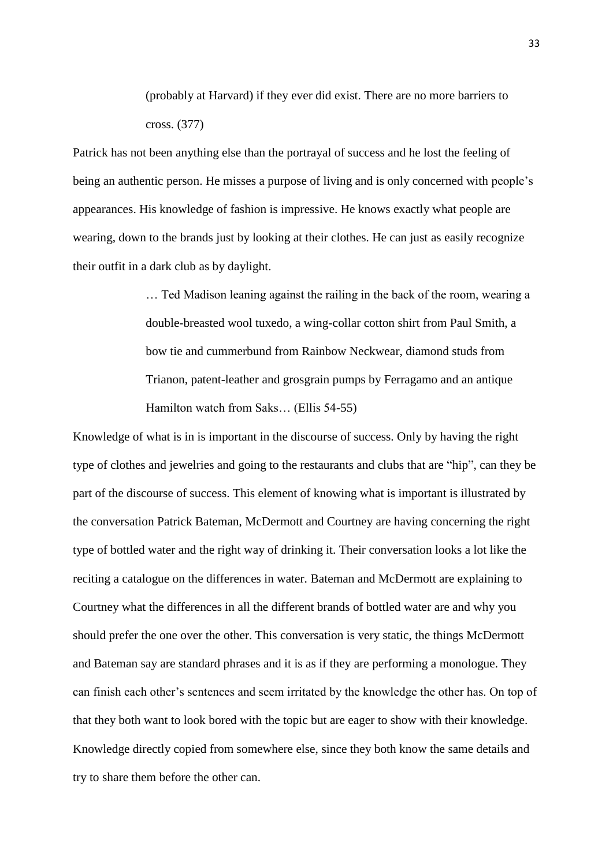(probably at Harvard) if they ever did exist. There are no more barriers to cross. (377)

Patrick has not been anything else than the portrayal of success and he lost the feeling of being an authentic person. He misses a purpose of living and is only concerned with people"s appearances. His knowledge of fashion is impressive. He knows exactly what people are wearing, down to the brands just by looking at their clothes. He can just as easily recognize their outfit in a dark club as by daylight.

> … Ted Madison leaning against the railing in the back of the room, wearing a double-breasted wool tuxedo, a wing-collar cotton shirt from Paul Smith, a bow tie and cummerbund from Rainbow Neckwear, diamond studs from Trianon, patent-leather and grosgrain pumps by Ferragamo and an antique Hamilton watch from Saks… (Ellis 54-55)

Knowledge of what is in is important in the discourse of success. Only by having the right type of clothes and jewelries and going to the restaurants and clubs that are "hip", can they be part of the discourse of success. This element of knowing what is important is illustrated by the conversation Patrick Bateman, McDermott and Courtney are having concerning the right type of bottled water and the right way of drinking it. Their conversation looks a lot like the reciting a catalogue on the differences in water. Bateman and McDermott are explaining to Courtney what the differences in all the different brands of bottled water are and why you should prefer the one over the other. This conversation is very static, the things McDermott and Bateman say are standard phrases and it is as if they are performing a monologue. They can finish each other"s sentences and seem irritated by the knowledge the other has. On top of that they both want to look bored with the topic but are eager to show with their knowledge. Knowledge directly copied from somewhere else, since they both know the same details and try to share them before the other can.

33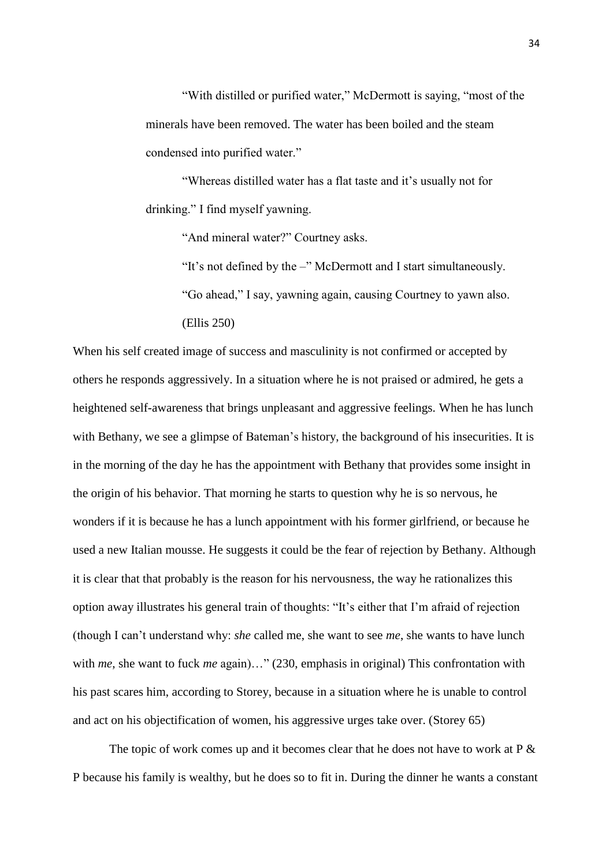"With distilled or purified water," McDermott is saying, "most of the minerals have been removed. The water has been boiled and the steam condensed into purified water."

"Whereas distilled water has a flat taste and it"s usually not for drinking." I find myself yawning.

"And mineral water?" Courtney asks.

"It"s not defined by the –" McDermott and I start simultaneously. "Go ahead," I say, yawning again, causing Courtney to yawn also. (Ellis 250)

When his self created image of success and masculinity is not confirmed or accepted by others he responds aggressively. In a situation where he is not praised or admired, he gets a heightened self-awareness that brings unpleasant and aggressive feelings. When he has lunch with Bethany, we see a glimpse of Bateman's history, the background of his insecurities. It is in the morning of the day he has the appointment with Bethany that provides some insight in the origin of his behavior. That morning he starts to question why he is so nervous, he wonders if it is because he has a lunch appointment with his former girlfriend, or because he used a new Italian mousse. He suggests it could be the fear of rejection by Bethany. Although it is clear that that probably is the reason for his nervousness, the way he rationalizes this option away illustrates his general train of thoughts: "It"s either that I"m afraid of rejection (though I can"t understand why: *she* called me, she want to see *me*, she wants to have lunch with *me*, she want to fuck *me* again)..." (230, emphasis in original) This confrontation with his past scares him, according to Storey, because in a situation where he is unable to control and act on his objectification of women, his aggressive urges take over. (Storey 65)

The topic of work comes up and it becomes clear that he does not have to work at P  $\&$ P because his family is wealthy, but he does so to fit in. During the dinner he wants a constant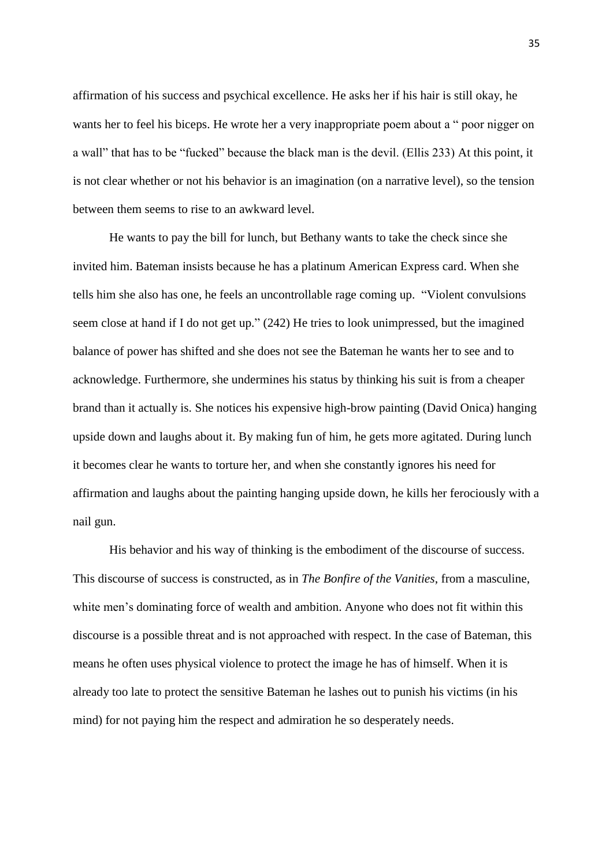affirmation of his success and psychical excellence. He asks her if his hair is still okay, he wants her to feel his biceps. He wrote her a very inappropriate poem about a " poor nigger on a wall" that has to be "fucked" because the black man is the devil. (Ellis 233) At this point, it is not clear whether or not his behavior is an imagination (on a narrative level), so the tension between them seems to rise to an awkward level.

He wants to pay the bill for lunch, but Bethany wants to take the check since she invited him. Bateman insists because he has a platinum American Express card. When she tells him she also has one, he feels an uncontrollable rage coming up. "Violent convulsions seem close at hand if I do not get up." (242) He tries to look unimpressed, but the imagined balance of power has shifted and she does not see the Bateman he wants her to see and to acknowledge. Furthermore, she undermines his status by thinking his suit is from a cheaper brand than it actually is. She notices his expensive high-brow painting (David Onica) hanging upside down and laughs about it. By making fun of him, he gets more agitated. During lunch it becomes clear he wants to torture her, and when she constantly ignores his need for affirmation and laughs about the painting hanging upside down, he kills her ferociously with a nail gun.

His behavior and his way of thinking is the embodiment of the discourse of success. This discourse of success is constructed, as in *The Bonfire of the Vanities*, from a masculine, white men's dominating force of wealth and ambition. Anyone who does not fit within this discourse is a possible threat and is not approached with respect. In the case of Bateman, this means he often uses physical violence to protect the image he has of himself. When it is already too late to protect the sensitive Bateman he lashes out to punish his victims (in his mind) for not paying him the respect and admiration he so desperately needs.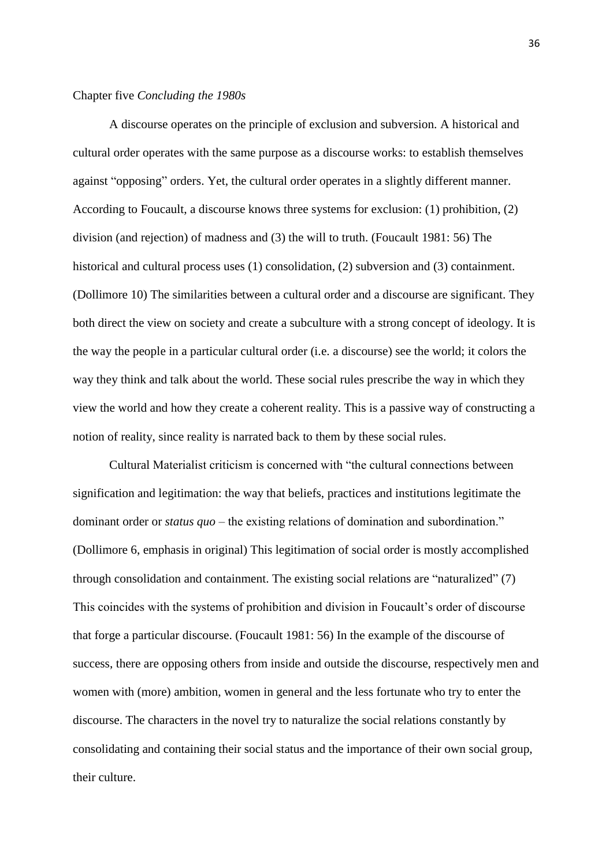## Chapter five *Concluding the 1980s*

A discourse operates on the principle of exclusion and subversion. A historical and cultural order operates with the same purpose as a discourse works: to establish themselves against "opposing" orders. Yet, the cultural order operates in a slightly different manner. According to Foucault, a discourse knows three systems for exclusion: (1) prohibition, (2) division (and rejection) of madness and (3) the will to truth. (Foucault 1981: 56) The historical and cultural process uses (1) consolidation, (2) subversion and (3) containment. (Dollimore 10) The similarities between a cultural order and a discourse are significant. They both direct the view on society and create a subculture with a strong concept of ideology. It is the way the people in a particular cultural order (i.e. a discourse) see the world; it colors the way they think and talk about the world. These social rules prescribe the way in which they view the world and how they create a coherent reality. This is a passive way of constructing a notion of reality, since reality is narrated back to them by these social rules.

Cultural Materialist criticism is concerned with "the cultural connections between signification and legitimation: the way that beliefs, practices and institutions legitimate the dominant order or *status quo* – the existing relations of domination and subordination." (Dollimore 6, emphasis in original) This legitimation of social order is mostly accomplished through consolidation and containment. The existing social relations are "naturalized" (7) This coincides with the systems of prohibition and division in Foucault's order of discourse that forge a particular discourse. (Foucault 1981: 56) In the example of the discourse of success, there are opposing others from inside and outside the discourse, respectively men and women with (more) ambition, women in general and the less fortunate who try to enter the discourse. The characters in the novel try to naturalize the social relations constantly by consolidating and containing their social status and the importance of their own social group, their culture.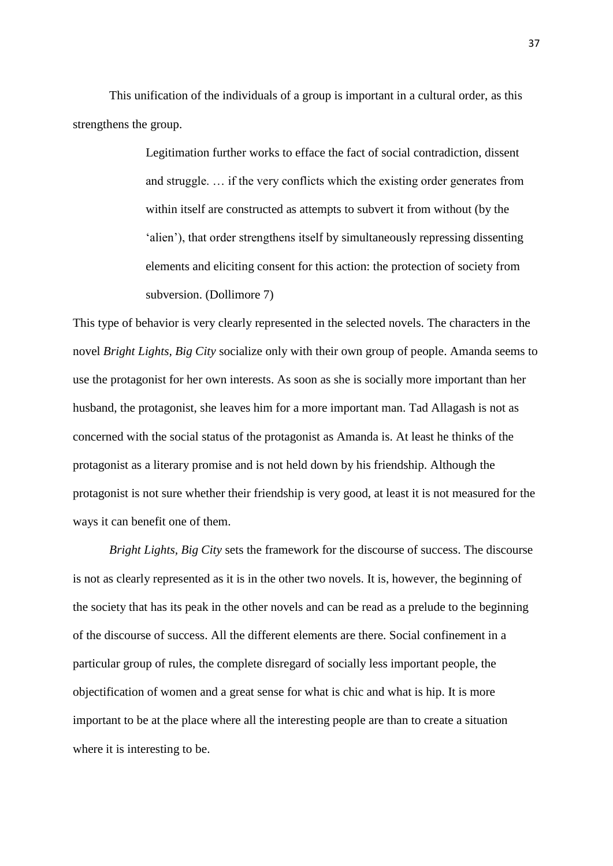This unification of the individuals of a group is important in a cultural order, as this strengthens the group.

> Legitimation further works to efface the fact of social contradiction, dissent and struggle. … if the very conflicts which the existing order generates from within itself are constructed as attempts to subvert it from without (by the 'alien'), that order strengthens itself by simultaneously repressing dissenting elements and eliciting consent for this action: the protection of society from subversion. (Dollimore 7)

This type of behavior is very clearly represented in the selected novels. The characters in the novel *Bright Lights, Big City* socialize only with their own group of people. Amanda seems to use the protagonist for her own interests. As soon as she is socially more important than her husband, the protagonist, she leaves him for a more important man. Tad Allagash is not as concerned with the social status of the protagonist as Amanda is. At least he thinks of the protagonist as a literary promise and is not held down by his friendship. Although the protagonist is not sure whether their friendship is very good, at least it is not measured for the ways it can benefit one of them.

*Bright Lights, Big City* sets the framework for the discourse of success. The discourse is not as clearly represented as it is in the other two novels. It is, however, the beginning of the society that has its peak in the other novels and can be read as a prelude to the beginning of the discourse of success. All the different elements are there. Social confinement in a particular group of rules, the complete disregard of socially less important people, the objectification of women and a great sense for what is chic and what is hip. It is more important to be at the place where all the interesting people are than to create a situation where it is interesting to be.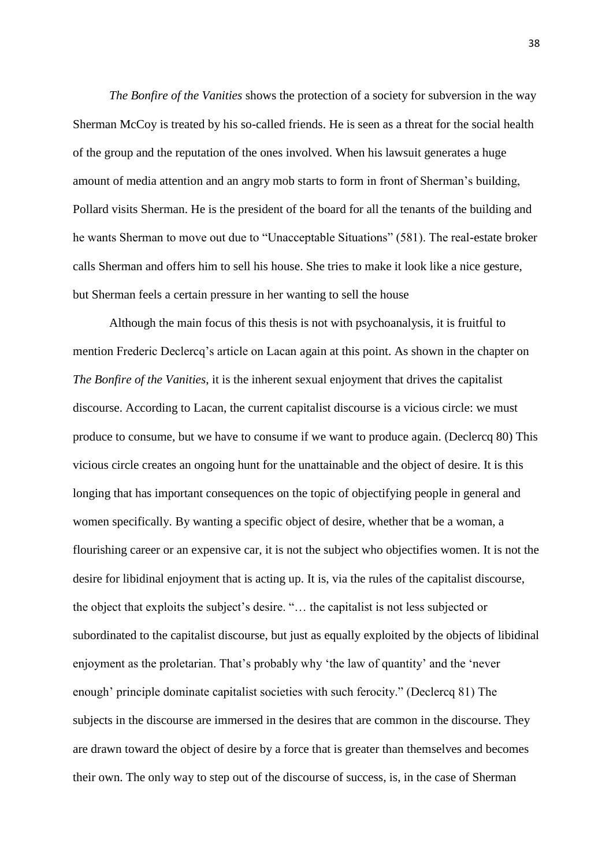*The Bonfire of the Vanities* shows the protection of a society for subversion in the way Sherman McCoy is treated by his so-called friends. He is seen as a threat for the social health of the group and the reputation of the ones involved. When his lawsuit generates a huge amount of media attention and an angry mob starts to form in front of Sherman"s building, Pollard visits Sherman. He is the president of the board for all the tenants of the building and he wants Sherman to move out due to "Unacceptable Situations" (581). The real-estate broker calls Sherman and offers him to sell his house. She tries to make it look like a nice gesture, but Sherman feels a certain pressure in her wanting to sell the house

Although the main focus of this thesis is not with psychoanalysis, it is fruitful to mention Frederic Declercq"s article on Lacan again at this point. As shown in the chapter on *The Bonfire of the Vanities*, it is the inherent sexual enjoyment that drives the capitalist discourse. According to Lacan, the current capitalist discourse is a vicious circle: we must produce to consume, but we have to consume if we want to produce again. (Declercq 80) This vicious circle creates an ongoing hunt for the unattainable and the object of desire. It is this longing that has important consequences on the topic of objectifying people in general and women specifically. By wanting a specific object of desire, whether that be a woman, a flourishing career or an expensive car, it is not the subject who objectifies women. It is not the desire for libidinal enjoyment that is acting up. It is, via the rules of the capitalist discourse, the object that exploits the subject"s desire. "… the capitalist is not less subjected or subordinated to the capitalist discourse, but just as equally exploited by the objects of libidinal enjoyment as the proletarian. That's probably why 'the law of quantity' and the 'never enough" principle dominate capitalist societies with such ferocity." (Declercq 81) The subjects in the discourse are immersed in the desires that are common in the discourse. They are drawn toward the object of desire by a force that is greater than themselves and becomes their own. The only way to step out of the discourse of success, is, in the case of Sherman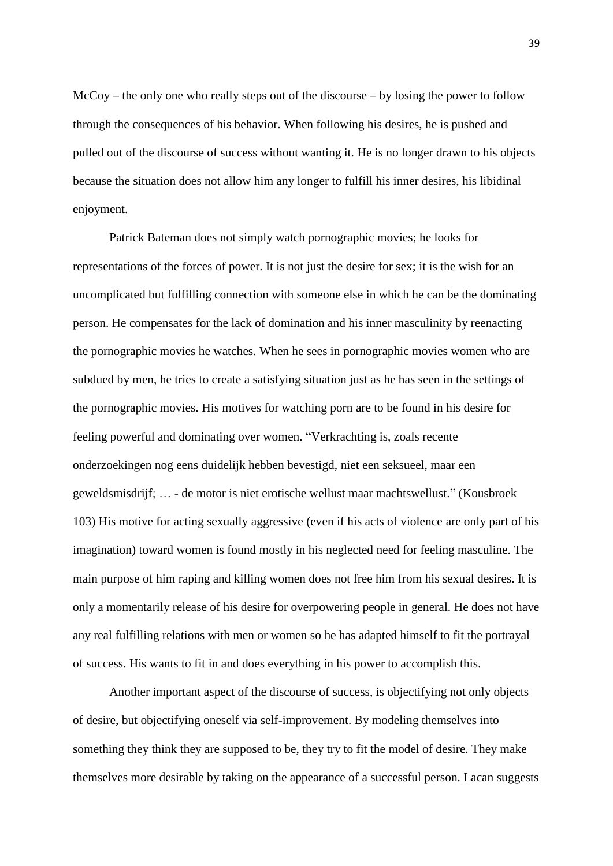McCoy – the only one who really steps out of the discourse – by losing the power to follow through the consequences of his behavior. When following his desires, he is pushed and pulled out of the discourse of success without wanting it. He is no longer drawn to his objects because the situation does not allow him any longer to fulfill his inner desires, his libidinal enjoyment.

Patrick Bateman does not simply watch pornographic movies; he looks for representations of the forces of power. It is not just the desire for sex; it is the wish for an uncomplicated but fulfilling connection with someone else in which he can be the dominating person. He compensates for the lack of domination and his inner masculinity by reenacting the pornographic movies he watches. When he sees in pornographic movies women who are subdued by men, he tries to create a satisfying situation just as he has seen in the settings of the pornographic movies. His motives for watching porn are to be found in his desire for feeling powerful and dominating over women. "Verkrachting is, zoals recente onderzoekingen nog eens duidelijk hebben bevestigd, niet een seksueel, maar een geweldsmisdrijf; … - de motor is niet erotische wellust maar machtswellust." (Kousbroek 103) His motive for acting sexually aggressive (even if his acts of violence are only part of his imagination) toward women is found mostly in his neglected need for feeling masculine. The main purpose of him raping and killing women does not free him from his sexual desires. It is only a momentarily release of his desire for overpowering people in general. He does not have any real fulfilling relations with men or women so he has adapted himself to fit the portrayal of success. His wants to fit in and does everything in his power to accomplish this.

Another important aspect of the discourse of success, is objectifying not only objects of desire, but objectifying oneself via self-improvement. By modeling themselves into something they think they are supposed to be, they try to fit the model of desire. They make themselves more desirable by taking on the appearance of a successful person. Lacan suggests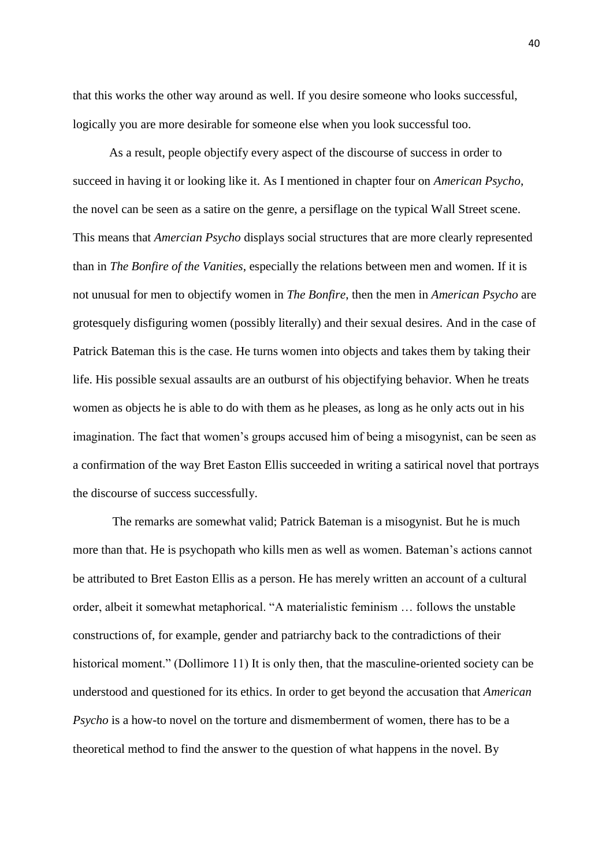that this works the other way around as well. If you desire someone who looks successful, logically you are more desirable for someone else when you look successful too.

As a result, people objectify every aspect of the discourse of success in order to succeed in having it or looking like it. As I mentioned in chapter four on *American Psycho*, the novel can be seen as a satire on the genre, a persiflage on the typical Wall Street scene. This means that *Amercian Psycho* displays social structures that are more clearly represented than in *The Bonfire of the Vanities*, especially the relations between men and women. If it is not unusual for men to objectify women in *The Bonfire*, then the men in *American Psycho* are grotesquely disfiguring women (possibly literally) and their sexual desires. And in the case of Patrick Bateman this is the case. He turns women into objects and takes them by taking their life. His possible sexual assaults are an outburst of his objectifying behavior. When he treats women as objects he is able to do with them as he pleases, as long as he only acts out in his imagination. The fact that women"s groups accused him of being a misogynist, can be seen as a confirmation of the way Bret Easton Ellis succeeded in writing a satirical novel that portrays the discourse of success successfully.

The remarks are somewhat valid; Patrick Bateman is a misogynist. But he is much more than that. He is psychopath who kills men as well as women. Bateman"s actions cannot be attributed to Bret Easton Ellis as a person. He has merely written an account of a cultural order, albeit it somewhat metaphorical. "A materialistic feminism … follows the unstable constructions of, for example, gender and patriarchy back to the contradictions of their historical moment." (Dollimore 11) It is only then, that the masculine-oriented society can be understood and questioned for its ethics. In order to get beyond the accusation that *American Psycho* is a how-to novel on the torture and dismemberment of women, there has to be a theoretical method to find the answer to the question of what happens in the novel. By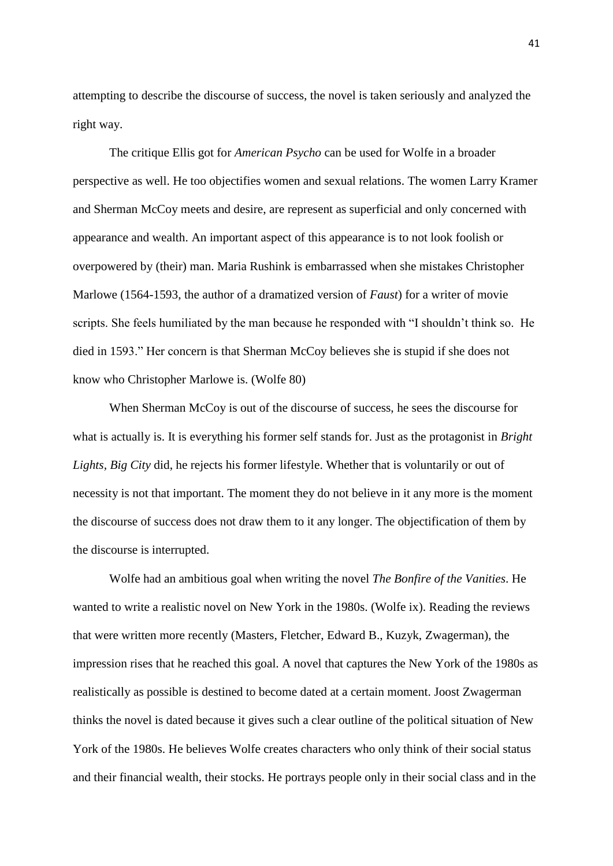attempting to describe the discourse of success, the novel is taken seriously and analyzed the right way.

The critique Ellis got for *American Psycho* can be used for Wolfe in a broader perspective as well. He too objectifies women and sexual relations. The women Larry Kramer and Sherman McCoy meets and desire, are represent as superficial and only concerned with appearance and wealth. An important aspect of this appearance is to not look foolish or overpowered by (their) man. Maria Rushink is embarrassed when she mistakes Christopher Marlowe (1564-1593, the author of a dramatized version of *Faust*) for a writer of movie scripts. She feels humiliated by the man because he responded with "I shouldn"t think so. He died in 1593." Her concern is that Sherman McCoy believes she is stupid if she does not know who Christopher Marlowe is. (Wolfe 80)

When Sherman McCoy is out of the discourse of success, he sees the discourse for what is actually is. It is everything his former self stands for. Just as the protagonist in *Bright Lights, Big City* did, he rejects his former lifestyle. Whether that is voluntarily or out of necessity is not that important. The moment they do not believe in it any more is the moment the discourse of success does not draw them to it any longer. The objectification of them by the discourse is interrupted.

Wolfe had an ambitious goal when writing the novel *The Bonfire of the Vanities*. He wanted to write a realistic novel on New York in the 1980s. (Wolfe ix). Reading the reviews that were written more recently (Masters, Fletcher, Edward B., Kuzyk, Zwagerman), the impression rises that he reached this goal. A novel that captures the New York of the 1980s as realistically as possible is destined to become dated at a certain moment. Joost Zwagerman thinks the novel is dated because it gives such a clear outline of the political situation of New York of the 1980s. He believes Wolfe creates characters who only think of their social status and their financial wealth, their stocks. He portrays people only in their social class and in the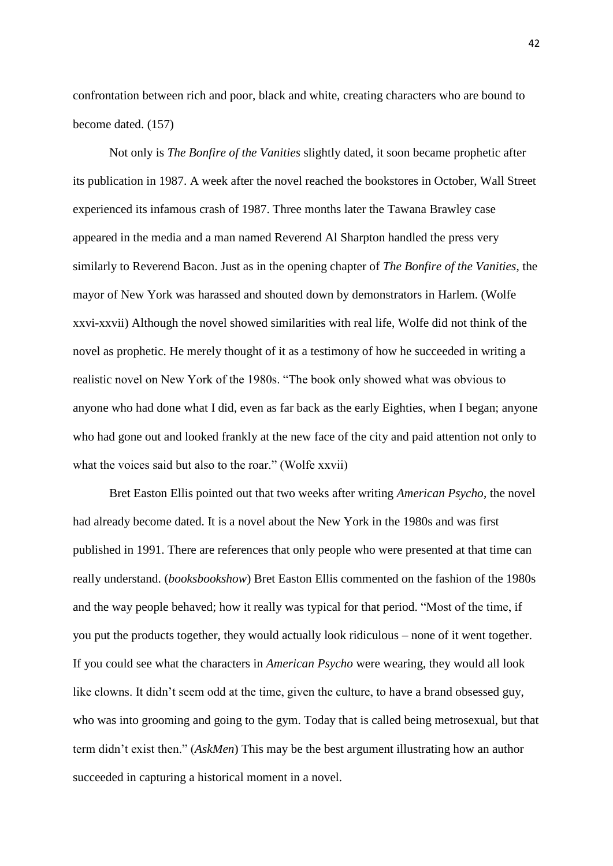confrontation between rich and poor, black and white, creating characters who are bound to become dated. (157)

Not only is *The Bonfire of the Vanities* slightly dated, it soon became prophetic after its publication in 1987. A week after the novel reached the bookstores in October, Wall Street experienced its infamous crash of 1987. Three months later the Tawana Brawley case appeared in the media and a man named Reverend Al Sharpton handled the press very similarly to Reverend Bacon. Just as in the opening chapter of *The Bonfire of the Vanities*, the mayor of New York was harassed and shouted down by demonstrators in Harlem. (Wolfe xxvi-xxvii) Although the novel showed similarities with real life, Wolfe did not think of the novel as prophetic. He merely thought of it as a testimony of how he succeeded in writing a realistic novel on New York of the 1980s. "The book only showed what was obvious to anyone who had done what I did, even as far back as the early Eighties, when I began; anyone who had gone out and looked frankly at the new face of the city and paid attention not only to what the voices said but also to the roar." (Wolfe xxvii)

Bret Easton Ellis pointed out that two weeks after writing *American Psycho*, the novel had already become dated. It is a novel about the New York in the 1980s and was first published in 1991. There are references that only people who were presented at that time can really understand. (*booksbookshow*) Bret Easton Ellis commented on the fashion of the 1980s and the way people behaved; how it really was typical for that period. "Most of the time, if you put the products together, they would actually look ridiculous – none of it went together. If you could see what the characters in *American Psycho* were wearing, they would all look like clowns. It didn't seem odd at the time, given the culture, to have a brand obsessed guy, who was into grooming and going to the gym. Today that is called being metrosexual, but that term didn"t exist then." (*AskMen*) This may be the best argument illustrating how an author succeeded in capturing a historical moment in a novel.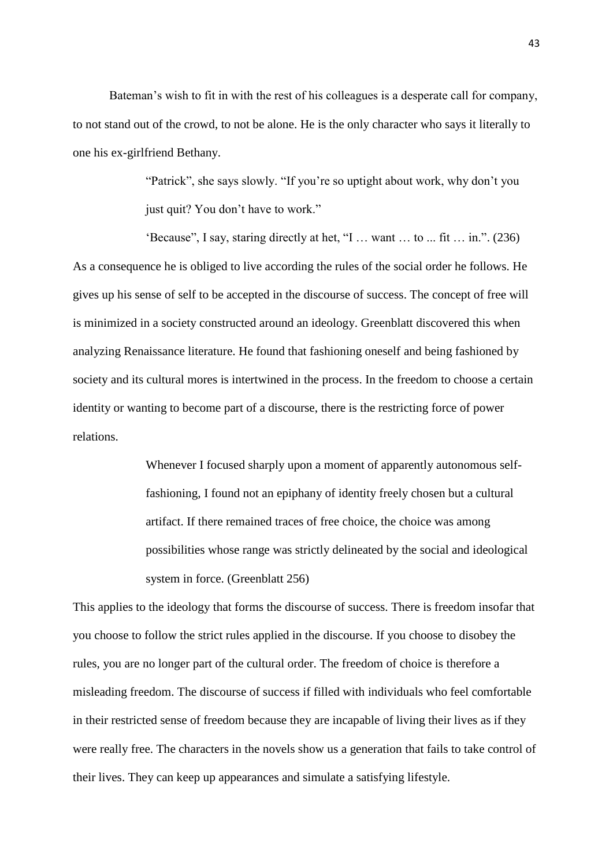Bateman's wish to fit in with the rest of his colleagues is a desperate call for company, to not stand out of the crowd, to not be alone. He is the only character who says it literally to one his ex-girlfriend Bethany.

> "Patrick", she says slowly. "If you"re so uptight about work, why don"t you just quit? You don't have to work."

"Because", I say, staring directly at het, "I ... want ... to ... fit ... in.".  $(236)$ As a consequence he is obliged to live according the rules of the social order he follows. He gives up his sense of self to be accepted in the discourse of success. The concept of free will is minimized in a society constructed around an ideology. Greenblatt discovered this when analyzing Renaissance literature. He found that fashioning oneself and being fashioned by society and its cultural mores is intertwined in the process. In the freedom to choose a certain identity or wanting to become part of a discourse, there is the restricting force of power relations.

> Whenever I focused sharply upon a moment of apparently autonomous selffashioning, I found not an epiphany of identity freely chosen but a cultural artifact. If there remained traces of free choice, the choice was among possibilities whose range was strictly delineated by the social and ideological system in force. (Greenblatt 256)

This applies to the ideology that forms the discourse of success. There is freedom insofar that you choose to follow the strict rules applied in the discourse. If you choose to disobey the rules, you are no longer part of the cultural order. The freedom of choice is therefore a misleading freedom. The discourse of success if filled with individuals who feel comfortable in their restricted sense of freedom because they are incapable of living their lives as if they were really free. The characters in the novels show us a generation that fails to take control of their lives. They can keep up appearances and simulate a satisfying lifestyle.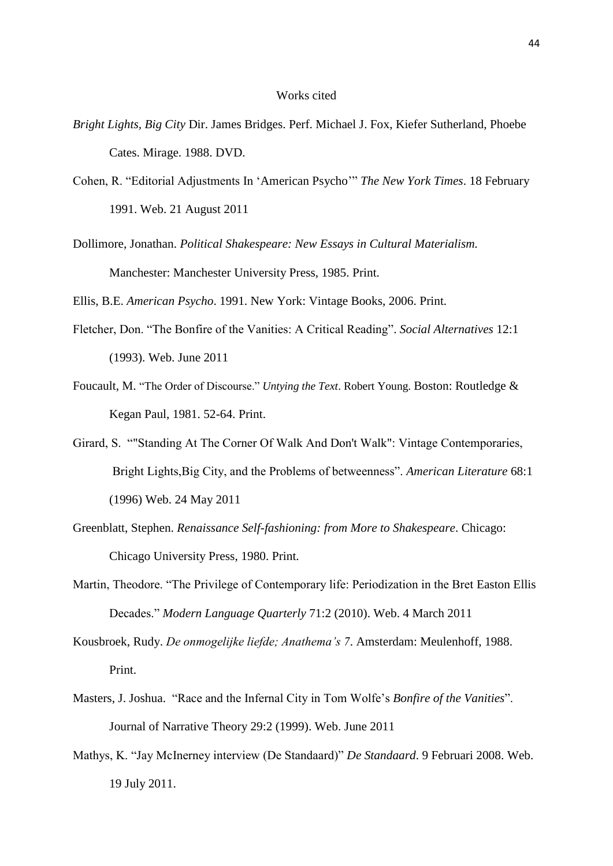#### Works cited

- *Bright Lights, Big City* Dir. James Bridges. Perf. Michael J. Fox, Kiefer Sutherland, Phoebe Cates. Mirage. 1988. DVD.
- Cohen, R. "Editorial Adjustments In "American Psycho"" *The New York Times*. 18 February 1991. Web. 21 August 2011
- Dollimore, Jonathan. *Political Shakespeare: New Essays in Cultural Materialism.*  Manchester: Manchester University Press, 1985. Print.

Ellis, B.E. *American Psycho*. 1991. New York: Vintage Books, 2006. Print.

- Fletcher, Don. "The Bonfire of the Vanities: A Critical Reading". *Social Alternatives* 12:1 (1993). Web. June 2011
- Foucault, M. "The Order of Discourse." *Untying the Text*. Robert Young. Boston: Routledge & Kegan Paul, 1981. 52-64. Print.
- Girard, S. ""Standing At The Corner Of Walk And Don't Walk": Vintage Contemporaries, Bright Lights,Big City, and the Problems of betweenness". *American Literature* 68:1 (1996) Web. 24 May 2011
- Greenblatt, Stephen. *Renaissance Self-fashioning: from More to Shakespeare*. Chicago: Chicago University Press, 1980. Print.
- Martin, Theodore. "The Privilege of Contemporary life: Periodization in the Bret Easton Ellis Decades." *Modern Language Quarterly* 71:2 (2010). Web. 4 March 2011
- Kousbroek, Rudy. *De onmogelijke liefde; Anathema's 7*. Amsterdam: Meulenhoff, 1988. Print.
- Masters, J. Joshua. "Race and the Infernal City in Tom Wolfe"s *Bonfire of the Vanities*". Journal of Narrative Theory 29:2 (1999). Web. June 2011
- Mathys, K. "Jay McInerney interview (De Standaard)" *De Standaard*. 9 Februari 2008. Web. 19 July 2011.